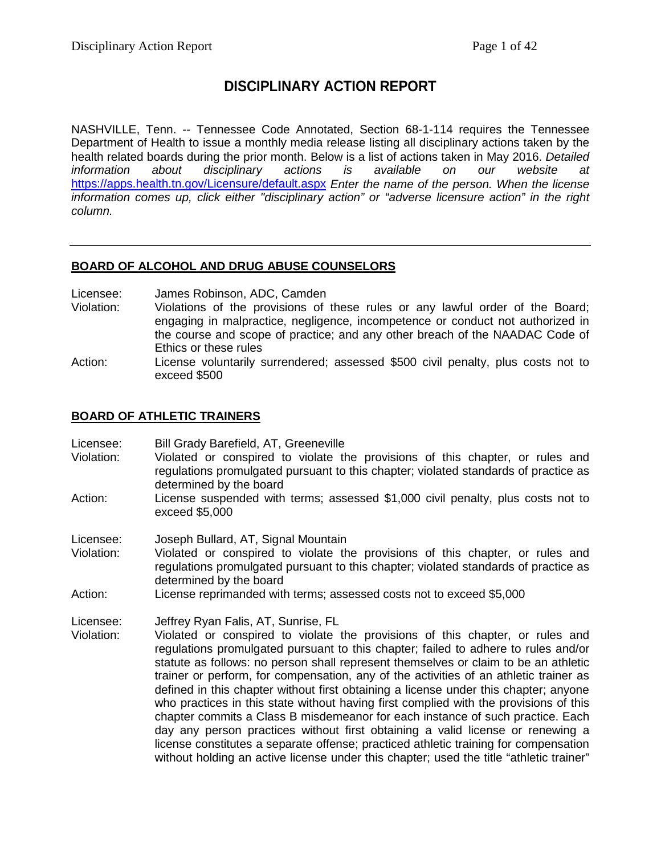# **DISCIPLINARY ACTION REPORT**

NASHVILLE, Tenn. -- Tennessee Code Annotated, Section 68-1-114 requires the Tennessee Department of Health to issue a monthly media release listing all disciplinary actions taken by the health related boards during the prior month. Below is a list of actions taken in May 2016. *Detailed information about disciplinary actions is available on our website at* <https://apps.health.tn.gov/Licensure/default.aspx> *Enter the name of the person. When the license information comes up, click either "disciplinary action" or "adverse licensure action" in the right column.*

# **BOARD OF ALCOHOL AND DRUG ABUSE COUNSELORS**

Licensee: James Robinson, ADC, Camden<br>Violation: Violations of the provisions of

- Violation: Violations of the provisions of these rules or any lawful order of the Board; engaging in malpractice, negligence, incompetence or conduct not authorized in the course and scope of practice; and any other breach of the NAADAC Code of Ethics or these rules
- Action: License voluntarily surrendered; assessed \$500 civil penalty, plus costs not to exceed \$500

# **BOARD OF ATHLETIC TRAINERS**

Licensee: Bill Grady Barefield, AT, Greeneville

- Violation: Violated or conspired to violate the provisions of this chapter, or rules and regulations promulgated pursuant to this chapter; violated standards of practice as determined by the board
- Action: License suspended with terms; assessed \$1,000 civil penalty, plus costs not to exceed \$5,000
- Licensee: Joseph Bullard, AT, Signal Mountain
- Violation: Violated or conspired to violate the provisions of this chapter, or rules and regulations promulgated pursuant to this chapter; violated standards of practice as determined by the board
- Action: License reprimanded with terms; assessed costs not to exceed \$5,000

Licensee: Jeffrey Ryan Falis, AT, Sunrise, FL

Violated or conspired to violate the provisions of this chapter, or rules and regulations promulgated pursuant to this chapter; failed to adhere to rules and/or statute as follows: no person shall represent themselves or claim to be an athletic trainer or perform, for compensation, any of the activities of an athletic trainer as defined in this chapter without first obtaining a license under this chapter; anyone who practices in this state without having first complied with the provisions of this chapter commits a Class B misdemeanor for each instance of such practice. Each day any person practices without first obtaining a valid license or renewing a license constitutes a separate offense; practiced athletic training for compensation without holding an active license under this chapter; used the title "athletic trainer"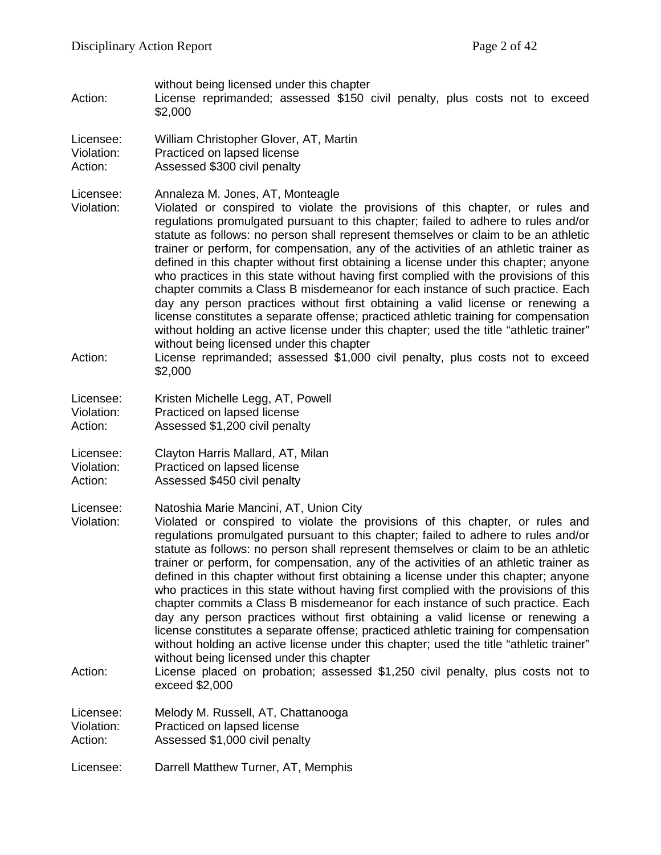without being licensed under this chapter

Action: License reprimanded; assessed \$150 civil penalty, plus costs not to exceed \$2,000

Licensee: William Christopher Glover, AT, Martin Violation: Practiced on lapsed license Action: Assessed \$300 civil penalty

Licensee: Annaleza M. Jones, AT, Monteagle<br>Violation: Violated or conspired to violate t

Violated or conspired to violate the provisions of this chapter, or rules and regulations promulgated pursuant to this chapter; failed to adhere to rules and/or statute as follows: no person shall represent themselves or claim to be an athletic trainer or perform, for compensation, any of the activities of an athletic trainer as defined in this chapter without first obtaining a license under this chapter; anyone who practices in this state without having first complied with the provisions of this chapter commits a Class B misdemeanor for each instance of such practice. Each day any person practices without first obtaining a valid license or renewing a license constitutes a separate offense; practiced athletic training for compensation without holding an active license under this chapter; used the title "athletic trainer" without being licensed under this chapter

Action: License reprimanded; assessed \$1,000 civil penalty, plus costs not to exceed \$2,000

Licensee: Kristen Michelle Legg, AT, Powell<br>Violation: Practiced on lansed license Practiced on lapsed license Action: Assessed \$1,200 civil penalty

Licensee: Clayton Harris Mallard, AT, Milan

Violation: Practiced on lapsed license

Action: Assessed \$450 civil penalty

Licensee: Natoshia Marie Mancini, AT, Union City

Violation: Violated or conspired to violate the provisions of this chapter, or rules and regulations promulgated pursuant to this chapter; failed to adhere to rules and/or statute as follows: no person shall represent themselves or claim to be an athletic trainer or perform, for compensation, any of the activities of an athletic trainer as defined in this chapter without first obtaining a license under this chapter; anyone who practices in this state without having first complied with the provisions of this chapter commits a Class B misdemeanor for each instance of such practice. Each day any person practices without first obtaining a valid license or renewing a license constitutes a separate offense; practiced athletic training for compensation without holding an active license under this chapter; used the title "athletic trainer" without being licensed under this chapter

Action: License placed on probation; assessed \$1,250 civil penalty, plus costs not to exceed \$2,000

Licensee: Melody M. Russell, AT, Chattanooga<br>Violation: Practiced on lapsed license Practiced on lapsed license Action: Assessed \$1,000 civil penalty

Licensee: Darrell Matthew Turner, AT, Memphis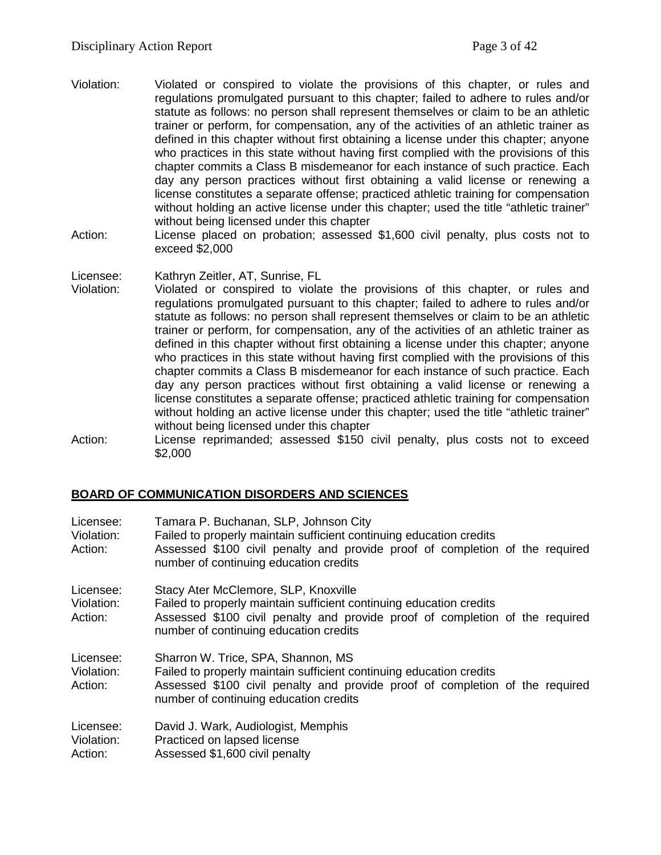- Violation: Violated or conspired to violate the provisions of this chapter, or rules and regulations promulgated pursuant to this chapter; failed to adhere to rules and/or statute as follows: no person shall represent themselves or claim to be an athletic trainer or perform, for compensation, any of the activities of an athletic trainer as defined in this chapter without first obtaining a license under this chapter; anyone who practices in this state without having first complied with the provisions of this chapter commits a Class B misdemeanor for each instance of such practice. Each day any person practices without first obtaining a valid license or renewing a license constitutes a separate offense; practiced athletic training for compensation without holding an active license under this chapter; used the title "athletic trainer" without being licensed under this chapter
- Action: License placed on probation; assessed \$1,600 civil penalty, plus costs not to exceed \$2,000

Licensee: Kathryn Zeitler, AT, Sunrise, FL

- Violation: Violated or conspired to violate the provisions of this chapter, or rules and regulations promulgated pursuant to this chapter; failed to adhere to rules and/or statute as follows: no person shall represent themselves or claim to be an athletic trainer or perform, for compensation, any of the activities of an athletic trainer as defined in this chapter without first obtaining a license under this chapter; anyone who practices in this state without having first complied with the provisions of this chapter commits a Class B misdemeanor for each instance of such practice. Each day any person practices without first obtaining a valid license or renewing a license constitutes a separate offense; practiced athletic training for compensation without holding an active license under this chapter; used the title "athletic trainer" without being licensed under this chapter
- Action: License reprimanded; assessed \$150 civil penalty, plus costs not to exceed \$2,000

# **BOARD OF COMMUNICATION DISORDERS AND SCIENCES**

| Licensee:<br>Violation:<br>Action: | Tamara P. Buchanan, SLP, Johnson City<br>Failed to properly maintain sufficient continuing education credits<br>Assessed \$100 civil penalty and provide proof of completion of the required<br>number of continuing education credits |
|------------------------------------|----------------------------------------------------------------------------------------------------------------------------------------------------------------------------------------------------------------------------------------|
| Licensee:<br>Violation:<br>Action: | Stacy Ater McClemore, SLP, Knoxville<br>Failed to properly maintain sufficient continuing education credits<br>Assessed \$100 civil penalty and provide proof of completion of the required<br>number of continuing education credits  |
| Licensee:<br>Violation:<br>Action: | Sharron W. Trice, SPA, Shannon, MS<br>Failed to properly maintain sufficient continuing education credits<br>Assessed \$100 civil penalty and provide proof of completion of the required<br>number of continuing education credits    |
| Licensee:<br>Violation:<br>Action: | David J. Wark, Audiologist, Memphis<br>Practiced on lapsed license<br>Assessed \$1,600 civil penalty                                                                                                                                   |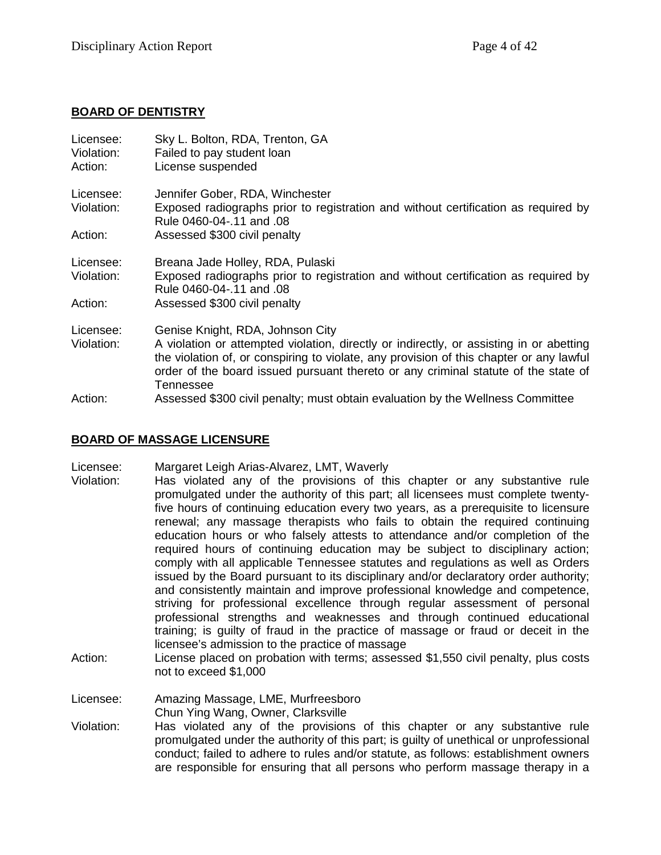# **BOARD OF DENTISTRY**

| Licensee:<br>Violation:<br>Action: | Sky L. Bolton, RDA, Trenton, GA<br>Failed to pay student loan<br>License suspended                                                                                                                                                                                                    |
|------------------------------------|---------------------------------------------------------------------------------------------------------------------------------------------------------------------------------------------------------------------------------------------------------------------------------------|
| Licensee:                          | Jennifer Gober, RDA, Winchester                                                                                                                                                                                                                                                       |
| Violation:                         | Exposed radiographs prior to registration and without certification as required by<br>Rule 0460-04-.11 and .08                                                                                                                                                                        |
| Action:                            | Assessed \$300 civil penalty                                                                                                                                                                                                                                                          |
| Licensee:                          | Breana Jade Holley, RDA, Pulaski                                                                                                                                                                                                                                                      |
| Violation:                         | Exposed radiographs prior to registration and without certification as required by<br>Rule 0460-04-.11 and .08                                                                                                                                                                        |
| Action:                            | Assessed \$300 civil penalty                                                                                                                                                                                                                                                          |
| Licensee:                          | Genise Knight, RDA, Johnson City                                                                                                                                                                                                                                                      |
| Violation:                         | A violation or attempted violation, directly or indirectly, or assisting in or abetting<br>the violation of, or conspiring to violate, any provision of this chapter or any lawful<br>order of the board issued pursuant thereto or any criminal statute of the state of<br>Tennessee |
| Action:                            | Assessed \$300 civil penalty; must obtain evaluation by the Wellness Committee                                                                                                                                                                                                        |

# **BOARD OF MASSAGE LICENSURE**

Licensee: Margaret Leigh Arias-Alvarez, LMT, Waverly

- Violation: Has violated any of the provisions of this chapter or any substantive rule promulgated under the authority of this part; all licensees must complete twentyfive hours of continuing education every two years, as a prerequisite to licensure renewal; any massage therapists who fails to obtain the required continuing education hours or who falsely attests to attendance and/or completion of the required hours of continuing education may be subject to disciplinary action; comply with all applicable Tennessee statutes and regulations as well as Orders issued by the Board pursuant to its disciplinary and/or declaratory order authority; and consistently maintain and improve professional knowledge and competence, striving for professional excellence through regular assessment of personal professional strengths and weaknesses and through continued educational training; is guilty of fraud in the practice of massage or fraud or deceit in the licensee's admission to the practice of massage
- Action: License placed on probation with terms; assessed \$1,550 civil penalty, plus costs not to exceed \$1,000
- Licensee: Amazing Massage, LME, Murfreesboro Chun Ying Wang, Owner, Clarksville
- Violation: Has violated any of the provisions of this chapter or any substantive rule promulgated under the authority of this part; is guilty of unethical or unprofessional conduct; failed to adhere to rules and/or statute, as follows: establishment owners are responsible for ensuring that all persons who perform massage therapy in a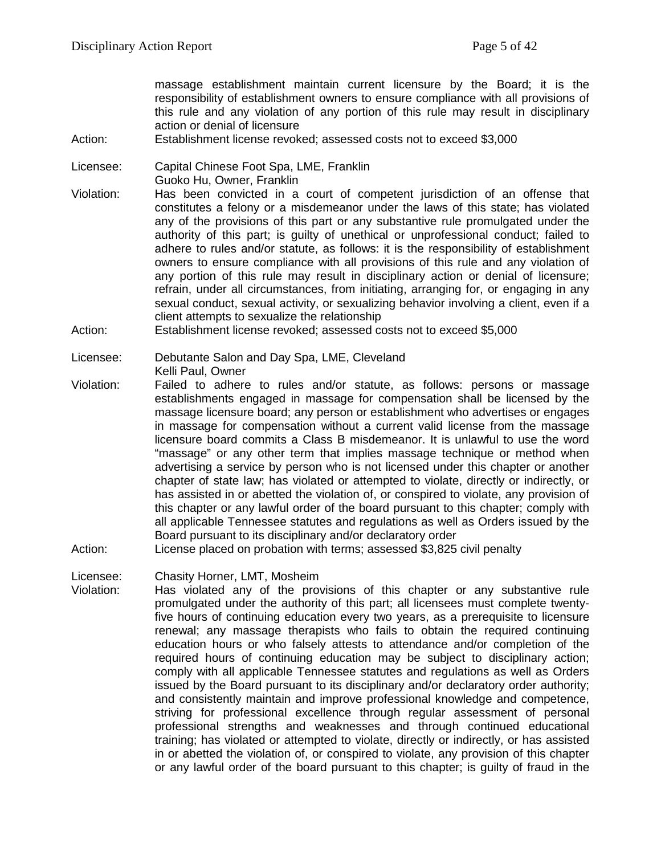massage establishment maintain current licensure by the Board; it is the responsibility of establishment owners to ensure compliance with all provisions of this rule and any violation of any portion of this rule may result in disciplinary action or denial of licensure

Action: Establishment license revoked; assessed costs not to exceed \$3,000

Licensee: Capital Chinese Foot Spa, LME, Franklin

- Guoko Hu, Owner, Franklin
- Violation: Has been convicted in a court of competent jurisdiction of an offense that constitutes a felony or a misdemeanor under the laws of this state; has violated any of the provisions of this part or any substantive rule promulgated under the authority of this part; is guilty of unethical or unprofessional conduct; failed to adhere to rules and/or statute, as follows: it is the responsibility of establishment owners to ensure compliance with all provisions of this rule and any violation of any portion of this rule may result in disciplinary action or denial of licensure; refrain, under all circumstances, from initiating, arranging for, or engaging in any sexual conduct, sexual activity, or sexualizing behavior involving a client, even if a client attempts to sexualize the relationship
- Action: Establishment license revoked; assessed costs not to exceed \$5,000

- Violation: Failed to adhere to rules and/or statute, as follows: persons or massage establishments engaged in massage for compensation shall be licensed by the massage licensure board; any person or establishment who advertises or engages in massage for compensation without a current valid license from the massage licensure board commits a Class B misdemeanor. It is unlawful to use the word "massage" or any other term that implies massage technique or method when advertising a service by person who is not licensed under this chapter or another chapter of state law; has violated or attempted to violate, directly or indirectly, or has assisted in or abetted the violation of, or conspired to violate, any provision of this chapter or any lawful order of the board pursuant to this chapter; comply with all applicable Tennessee statutes and regulations as well as Orders issued by the Board pursuant to its disciplinary and/or declaratory order
- Action: License placed on probation with terms; assessed \$3,825 civil penalty

Licensee: Chasity Horner, LMT, Mosheim

Violation: Has violated any of the provisions of this chapter or any substantive rule promulgated under the authority of this part; all licensees must complete twentyfive hours of continuing education every two years, as a prerequisite to licensure renewal; any massage therapists who fails to obtain the required continuing education hours or who falsely attests to attendance and/or completion of the required hours of continuing education may be subject to disciplinary action; comply with all applicable Tennessee statutes and regulations as well as Orders issued by the Board pursuant to its disciplinary and/or declaratory order authority; and consistently maintain and improve professional knowledge and competence, striving for professional excellence through regular assessment of personal professional strengths and weaknesses and through continued educational training; has violated or attempted to violate, directly or indirectly, or has assisted in or abetted the violation of, or conspired to violate, any provision of this chapter or any lawful order of the board pursuant to this chapter; is guilty of fraud in the

Licensee: Debutante Salon and Day Spa, LME, Cleveland Kelli Paul, Owner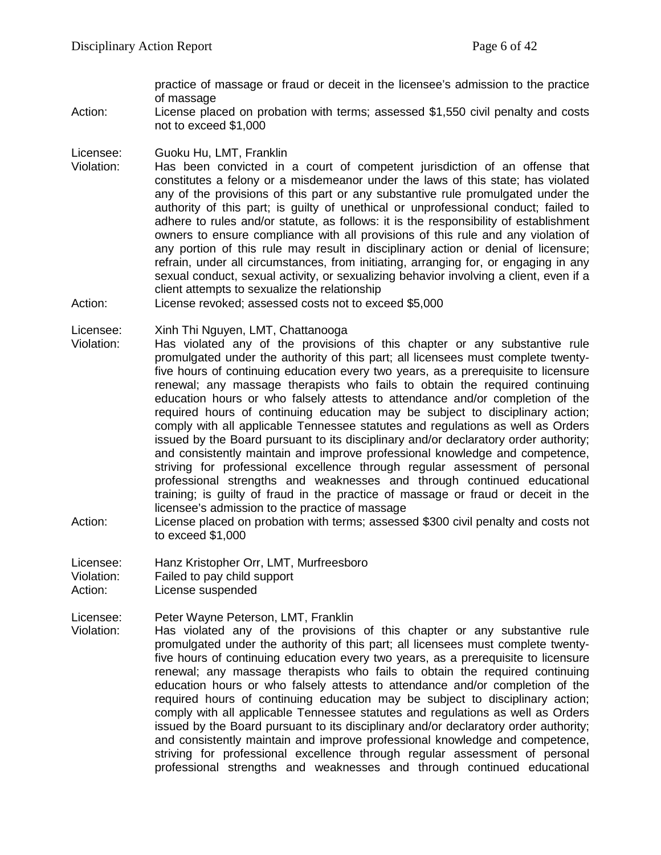practice of massage or fraud or deceit in the licensee's admission to the practice of massage

Action: License placed on probation with terms; assessed \$1,550 civil penalty and costs not to exceed \$1,000

Licensee: Guoku Hu, LMT, Franklin

- Violation: Has been convicted in a court of competent jurisdiction of an offense that constitutes a felony or a misdemeanor under the laws of this state; has violated any of the provisions of this part or any substantive rule promulgated under the authority of this part; is guilty of unethical or unprofessional conduct; failed to adhere to rules and/or statute, as follows: it is the responsibility of establishment owners to ensure compliance with all provisions of this rule and any violation of any portion of this rule may result in disciplinary action or denial of licensure; refrain, under all circumstances, from initiating, arranging for, or engaging in any sexual conduct, sexual activity, or sexualizing behavior involving a client, even if a client attempts to sexualize the relationship
- Action: License revoked; assessed costs not to exceed \$5,000

Licensee: Xinh Thi Nguyen, LMT, Chattanooga

- Violation: Has violated any of the provisions of this chapter or any substantive rule promulgated under the authority of this part; all licensees must complete twentyfive hours of continuing education every two years, as a prerequisite to licensure renewal; any massage therapists who fails to obtain the required continuing education hours or who falsely attests to attendance and/or completion of the required hours of continuing education may be subject to disciplinary action; comply with all applicable Tennessee statutes and regulations as well as Orders issued by the Board pursuant to its disciplinary and/or declaratory order authority; and consistently maintain and improve professional knowledge and competence, striving for professional excellence through regular assessment of personal professional strengths and weaknesses and through continued educational training; is guilty of fraud in the practice of massage or fraud or deceit in the licensee's admission to the practice of massage
- Action: License placed on probation with terms; assessed \$300 civil penalty and costs not to exceed \$1,000
- Licensee: Hanz Kristopher Orr, LMT, Murfreesboro Violation: Failed to pay child support Action: License suspended

Licensee: Peter Wayne Peterson, LMT, Franklin Violation: Has violated any of the provisions of this chapter or any substantive rule promulgated under the authority of this part; all licensees must complete twentyfive hours of continuing education every two years, as a prerequisite to licensure renewal; any massage therapists who fails to obtain the required continuing education hours or who falsely attests to attendance and/or completion of the required hours of continuing education may be subject to disciplinary action; comply with all applicable Tennessee statutes and regulations as well as Orders issued by the Board pursuant to its disciplinary and/or declaratory order authority; and consistently maintain and improve professional knowledge and competence, striving for professional excellence through regular assessment of personal professional strengths and weaknesses and through continued educational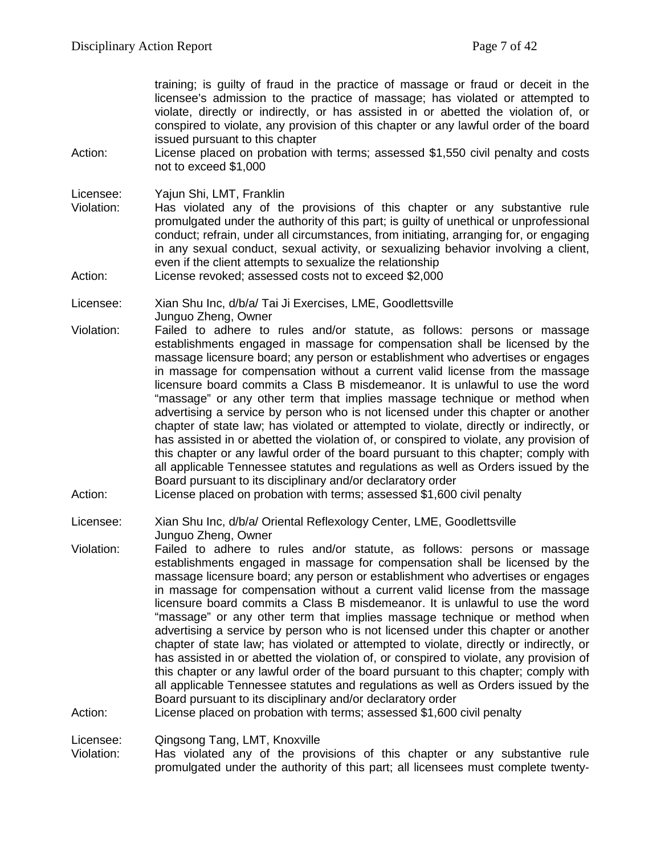training; is guilty of fraud in the practice of massage or fraud or deceit in the licensee's admission to the practice of massage; has violated or attempted to violate, directly or indirectly, or has assisted in or abetted the violation of, or conspired to violate, any provision of this chapter or any lawful order of the board issued pursuant to this chapter

Action: License placed on probation with terms; assessed \$1,550 civil penalty and costs not to exceed \$1,000

Licensee: Yajun Shi, LMT, Franklin

- Has violated any of the provisions of this chapter or any substantive rule promulgated under the authority of this part; is guilty of unethical or unprofessional conduct; refrain, under all circumstances, from initiating, arranging for, or engaging in any sexual conduct, sexual activity, or sexualizing behavior involving a client, even if the client attempts to sexualize the relationship
- Action: License revoked: assessed costs not to exceed \$2,000

Licensee: Xian Shu Inc, d/b/a/ Tai Ji Exercises, LME, Goodlettsville Junguo Zheng, Owner

- Violation: Failed to adhere to rules and/or statute, as follows: persons or massage establishments engaged in massage for compensation shall be licensed by the massage licensure board; any person or establishment who advertises or engages in massage for compensation without a current valid license from the massage licensure board commits a Class B misdemeanor. It is unlawful to use the word "massage" or any other term that implies massage technique or method when advertising a service by person who is not licensed under this chapter or another chapter of state law; has violated or attempted to violate, directly or indirectly, or has assisted in or abetted the violation of, or conspired to violate, any provision of this chapter or any lawful order of the board pursuant to this chapter; comply with all applicable Tennessee statutes and regulations as well as Orders issued by the Board pursuant to its disciplinary and/or declaratory order
- Action: License placed on probation with terms; assessed \$1,600 civil penalty

Licensee: Xian Shu Inc, d/b/a/ Oriental Reflexology Center, LME, Goodlettsville Junguo Zheng, Owner

Violation: Failed to adhere to rules and/or statute, as follows: persons or massage establishments engaged in massage for compensation shall be licensed by the massage licensure board; any person or establishment who advertises or engages in massage for compensation without a current valid license from the massage licensure board commits a Class B misdemeanor. It is unlawful to use the word "massage" or any other term that implies massage technique or method when advertising a service by person who is not licensed under this chapter or another chapter of state law; has violated or attempted to violate, directly or indirectly, or has assisted in or abetted the violation of, or conspired to violate, any provision of this chapter or any lawful order of the board pursuant to this chapter; comply with all applicable Tennessee statutes and regulations as well as Orders issued by the Board pursuant to its disciplinary and/or declaratory order

Action: License placed on probation with terms; assessed \$1,600 civil penalty

Licensee: Qingsong Tang, LMT, Knoxville

Violation: Has violated any of the provisions of this chapter or any substantive rule promulgated under the authority of this part; all licensees must complete twenty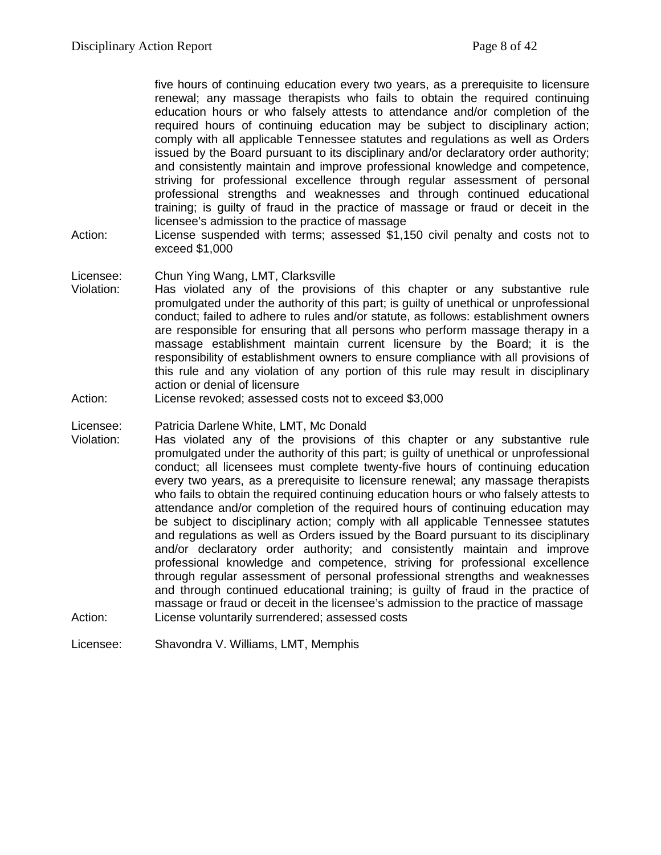five hours of continuing education every two years, as a prerequisite to licensure renewal; any massage therapists who fails to obtain the required continuing education hours or who falsely attests to attendance and/or completion of the required hours of continuing education may be subject to disciplinary action; comply with all applicable Tennessee statutes and regulations as well as Orders issued by the Board pursuant to its disciplinary and/or declaratory order authority; and consistently maintain and improve professional knowledge and competence, striving for professional excellence through regular assessment of personal professional strengths and weaknesses and through continued educational training; is guilty of fraud in the practice of massage or fraud or deceit in the licensee's admission to the practice of massage

Action: License suspended with terms; assessed \$1,150 civil penalty and costs not to exceed \$1,000

#### Licensee: Chun Ying Wang, LMT, Clarksville

- Violation: Has violated any of the provisions of this chapter or any substantive rule promulgated under the authority of this part; is guilty of unethical or unprofessional conduct; failed to adhere to rules and/or statute, as follows: establishment owners are responsible for ensuring that all persons who perform massage therapy in a massage establishment maintain current licensure by the Board; it is the responsibility of establishment owners to ensure compliance with all provisions of this rule and any violation of any portion of this rule may result in disciplinary action or denial of licensure
- Action: License revoked; assessed costs not to exceed \$3,000

#### Licensee: Patricia Darlene White, LMT, Mc Donald

- Violation: Has violated any of the provisions of this chapter or any substantive rule promulgated under the authority of this part; is guilty of unethical or unprofessional conduct; all licensees must complete twenty-five hours of continuing education every two years, as a prerequisite to licensure renewal; any massage therapists who fails to obtain the required continuing education hours or who falsely attests to attendance and/or completion of the required hours of continuing education may be subject to disciplinary action; comply with all applicable Tennessee statutes and regulations as well as Orders issued by the Board pursuant to its disciplinary and/or declaratory order authority; and consistently maintain and improve professional knowledge and competence, striving for professional excellence through regular assessment of personal professional strengths and weaknesses and through continued educational training; is guilty of fraud in the practice of massage or fraud or deceit in the licensee's admission to the practice of massage Action: License voluntarily surrendered; assessed costs
- Licensee: Shavondra V. Williams, LMT, Memphis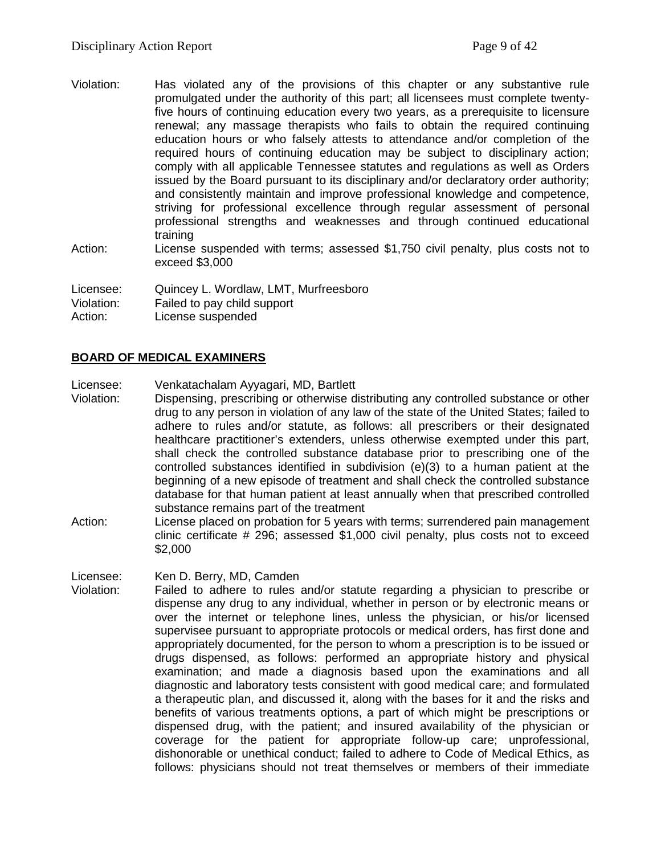- Violation: Has violated any of the provisions of this chapter or any substantive rule promulgated under the authority of this part; all licensees must complete twentyfive hours of continuing education every two years, as a prerequisite to licensure renewal; any massage therapists who fails to obtain the required continuing education hours or who falsely attests to attendance and/or completion of the required hours of continuing education may be subject to disciplinary action; comply with all applicable Tennessee statutes and regulations as well as Orders issued by the Board pursuant to its disciplinary and/or declaratory order authority; and consistently maintain and improve professional knowledge and competence, striving for professional excellence through regular assessment of personal professional strengths and weaknesses and through continued educational training
- Action: License suspended with terms; assessed \$1,750 civil penalty, plus costs not to exceed \$3,000

Licensee: Quincey L. Wordlaw, LMT, Murfreesboro

Violation: Failed to pay child support

Action: License suspended

# **BOARD OF MEDICAL EXAMINERS**

Licensee: Venkatachalam Ayyagari, MD, Bartlett

Dispensing, prescribing or otherwise distributing any controlled substance or other drug to any person in violation of any law of the state of the United States; failed to adhere to rules and/or statute, as follows: all prescribers or their designated healthcare practitioner's extenders, unless otherwise exempted under this part, shall check the controlled substance database prior to prescribing one of the controlled substances identified in subdivision (e)(3) to a human patient at the beginning of a new episode of treatment and shall check the controlled substance database for that human patient at least annually when that prescribed controlled substance remains part of the treatment

Action: License placed on probation for 5 years with terms; surrendered pain management clinic certificate # 296; assessed \$1,000 civil penalty, plus costs not to exceed \$2,000

Licensee: Ken D. Berry, MD, Camden

Violation: Failed to adhere to rules and/or statute regarding a physician to prescribe or dispense any drug to any individual, whether in person or by electronic means or over the internet or telephone lines, unless the physician, or his/or licensed supervisee pursuant to appropriate protocols or medical orders, has first done and appropriately documented, for the person to whom a prescription is to be issued or drugs dispensed, as follows: performed an appropriate history and physical examination; and made a diagnosis based upon the examinations and all diagnostic and laboratory tests consistent with good medical care; and formulated a therapeutic plan, and discussed it, along with the bases for it and the risks and benefits of various treatments options, a part of which might be prescriptions or dispensed drug, with the patient; and insured availability of the physician or coverage for the patient for appropriate follow-up care; unprofessional, dishonorable or unethical conduct; failed to adhere to Code of Medical Ethics, as follows: physicians should not treat themselves or members of their immediate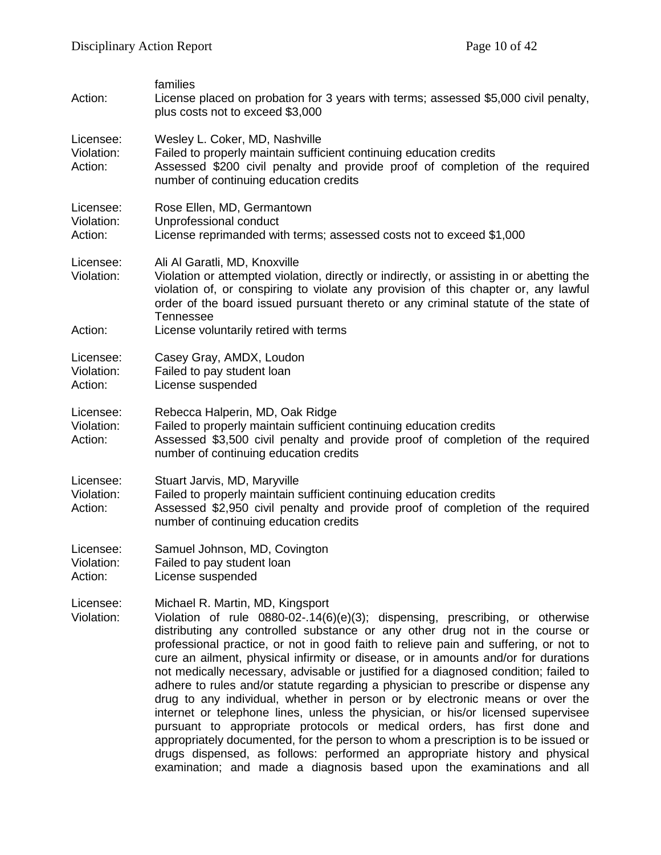| Action:                            | families<br>License placed on probation for 3 years with terms; assessed \$5,000 civil penalty,<br>plus costs not to exceed \$3,000                                                                                                                                                                                                                                                                                                                                                                                                                                                                                                                                                                                                                                                                                                                                                                                                                                                                                                                         |
|------------------------------------|-------------------------------------------------------------------------------------------------------------------------------------------------------------------------------------------------------------------------------------------------------------------------------------------------------------------------------------------------------------------------------------------------------------------------------------------------------------------------------------------------------------------------------------------------------------------------------------------------------------------------------------------------------------------------------------------------------------------------------------------------------------------------------------------------------------------------------------------------------------------------------------------------------------------------------------------------------------------------------------------------------------------------------------------------------------|
| Licensee:<br>Violation:<br>Action: | Wesley L. Coker, MD, Nashville<br>Failed to properly maintain sufficient continuing education credits<br>Assessed \$200 civil penalty and provide proof of completion of the required<br>number of continuing education credits                                                                                                                                                                                                                                                                                                                                                                                                                                                                                                                                                                                                                                                                                                                                                                                                                             |
| Licensee:<br>Violation:<br>Action: | Rose Ellen, MD, Germantown<br>Unprofessional conduct<br>License reprimanded with terms; assessed costs not to exceed \$1,000                                                                                                                                                                                                                                                                                                                                                                                                                                                                                                                                                                                                                                                                                                                                                                                                                                                                                                                                |
| Licensee:<br>Violation:<br>Action: | Ali Al Garatli, MD, Knoxville<br>Violation or attempted violation, directly or indirectly, or assisting in or abetting the<br>violation of, or conspiring to violate any provision of this chapter or, any lawful<br>order of the board issued pursuant thereto or any criminal statute of the state of<br><b>Tennessee</b><br>License voluntarily retired with terms                                                                                                                                                                                                                                                                                                                                                                                                                                                                                                                                                                                                                                                                                       |
| Licensee:<br>Violation:<br>Action: | Casey Gray, AMDX, Loudon<br>Failed to pay student loan<br>License suspended                                                                                                                                                                                                                                                                                                                                                                                                                                                                                                                                                                                                                                                                                                                                                                                                                                                                                                                                                                                 |
| Licensee:<br>Violation:<br>Action: | Rebecca Halperin, MD, Oak Ridge<br>Failed to properly maintain sufficient continuing education credits<br>Assessed \$3,500 civil penalty and provide proof of completion of the required<br>number of continuing education credits                                                                                                                                                                                                                                                                                                                                                                                                                                                                                                                                                                                                                                                                                                                                                                                                                          |
| Licensee:<br>Violation:<br>Action: | Stuart Jarvis, MD, Maryville<br>Failed to properly maintain sufficient continuing education credits<br>Assessed \$2,950 civil penalty and provide proof of completion of the required<br>number of continuing education credits                                                                                                                                                                                                                                                                                                                                                                                                                                                                                                                                                                                                                                                                                                                                                                                                                             |
| Licensee:<br>Violation:<br>Action: | Samuel Johnson, MD, Covington<br>Failed to pay student loan<br>License suspended                                                                                                                                                                                                                                                                                                                                                                                                                                                                                                                                                                                                                                                                                                                                                                                                                                                                                                                                                                            |
| Licensee:<br>Violation:            | Michael R. Martin, MD, Kingsport<br>Violation of rule $0880-02-.14(6)(e)(3)$ ; dispensing, prescribing, or otherwise<br>distributing any controlled substance or any other drug not in the course or<br>professional practice, or not in good faith to relieve pain and suffering, or not to<br>cure an ailment, physical infirmity or disease, or in amounts and/or for durations<br>not medically necessary, advisable or justified for a diagnosed condition; failed to<br>adhere to rules and/or statute regarding a physician to prescribe or dispense any<br>drug to any individual, whether in person or by electronic means or over the<br>internet or telephone lines, unless the physician, or his/or licensed supervisee<br>pursuant to appropriate protocols or medical orders, has first done and<br>appropriately documented, for the person to whom a prescription is to be issued or<br>drugs dispensed, as follows: performed an appropriate history and physical<br>examination; and made a diagnosis based upon the examinations and all |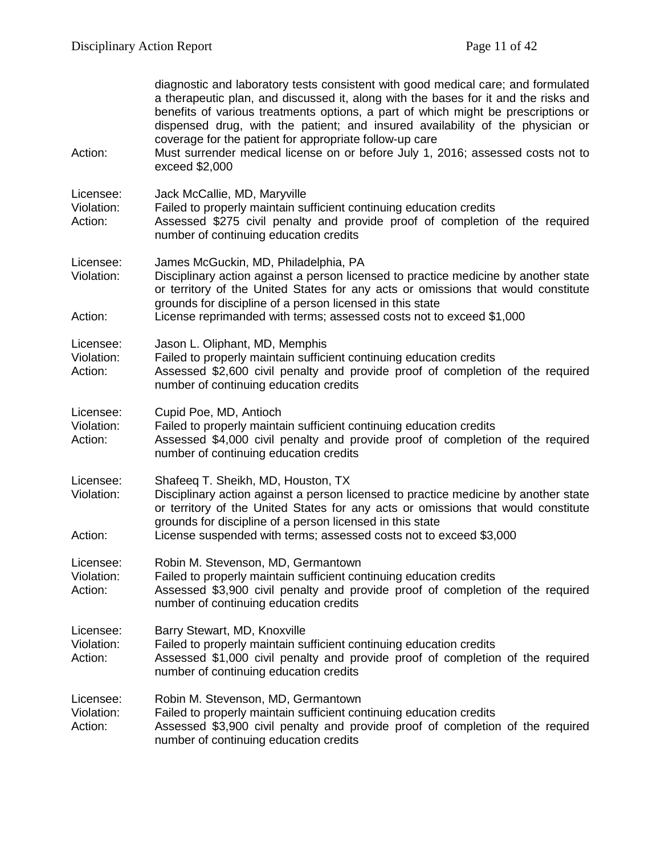| Action:                            | diagnostic and laboratory tests consistent with good medical care; and formulated<br>a therapeutic plan, and discussed it, along with the bases for it and the risks and<br>benefits of various treatments options, a part of which might be prescriptions or<br>dispensed drug, with the patient; and insured availability of the physician or<br>coverage for the patient for appropriate follow-up care<br>Must surrender medical license on or before July 1, 2016; assessed costs not to<br>exceed \$2,000 |
|------------------------------------|-----------------------------------------------------------------------------------------------------------------------------------------------------------------------------------------------------------------------------------------------------------------------------------------------------------------------------------------------------------------------------------------------------------------------------------------------------------------------------------------------------------------|
| Licensee:<br>Violation:<br>Action: | Jack McCallie, MD, Maryville<br>Failed to properly maintain sufficient continuing education credits<br>Assessed \$275 civil penalty and provide proof of completion of the required<br>number of continuing education credits                                                                                                                                                                                                                                                                                   |
| Licensee:<br>Violation:<br>Action: | James McGuckin, MD, Philadelphia, PA<br>Disciplinary action against a person licensed to practice medicine by another state<br>or territory of the United States for any acts or omissions that would constitute<br>grounds for discipline of a person licensed in this state<br>License reprimanded with terms; assessed costs not to exceed \$1,000                                                                                                                                                           |
| Licensee:<br>Violation:<br>Action: | Jason L. Oliphant, MD, Memphis<br>Failed to properly maintain sufficient continuing education credits<br>Assessed \$2,600 civil penalty and provide proof of completion of the required<br>number of continuing education credits                                                                                                                                                                                                                                                                               |
| Licensee:<br>Violation:<br>Action: | Cupid Poe, MD, Antioch<br>Failed to properly maintain sufficient continuing education credits<br>Assessed \$4,000 civil penalty and provide proof of completion of the required<br>number of continuing education credits                                                                                                                                                                                                                                                                                       |
| Licensee:<br>Violation:<br>Action: | Shafeeq T. Sheikh, MD, Houston, TX<br>Disciplinary action against a person licensed to practice medicine by another state<br>or territory of the United States for any acts or omissions that would constitute<br>grounds for discipline of a person licensed in this state<br>License suspended with terms; assessed costs not to exceed \$3,000                                                                                                                                                               |
| Licensee:<br>Violation:<br>Action: | Robin M. Stevenson, MD, Germantown<br>Failed to properly maintain sufficient continuing education credits<br>Assessed \$3,900 civil penalty and provide proof of completion of the required<br>number of continuing education credits                                                                                                                                                                                                                                                                           |
| Licensee:<br>Violation:<br>Action: | Barry Stewart, MD, Knoxville<br>Failed to properly maintain sufficient continuing education credits<br>Assessed \$1,000 civil penalty and provide proof of completion of the required<br>number of continuing education credits                                                                                                                                                                                                                                                                                 |
| Licensee:<br>Violation:<br>Action: | Robin M. Stevenson, MD, Germantown<br>Failed to properly maintain sufficient continuing education credits<br>Assessed \$3,900 civil penalty and provide proof of completion of the required<br>number of continuing education credits                                                                                                                                                                                                                                                                           |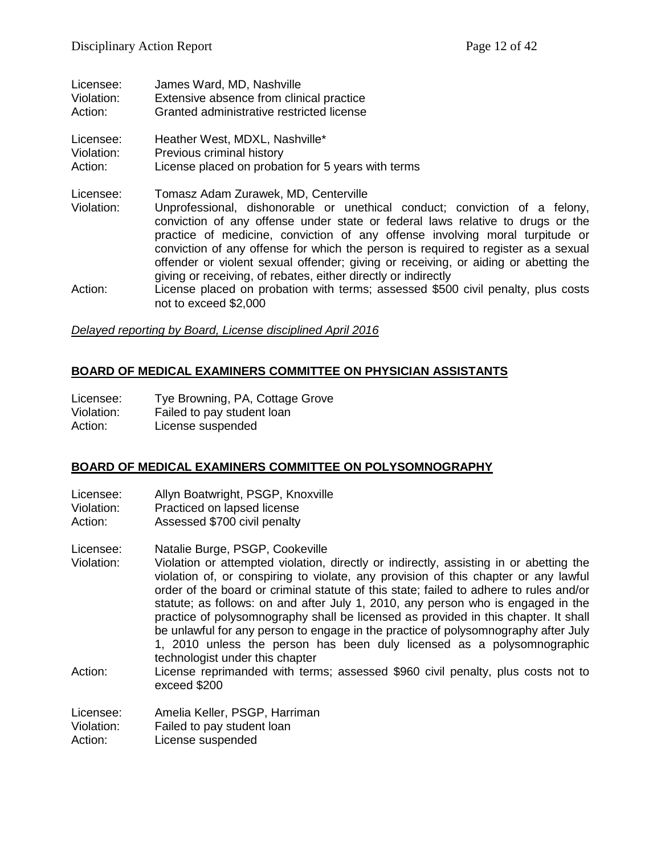| Licensee:               | James Ward, MD, Nashville                                                                                                                                                                                                                                                                                                                                                                                                                                                                                                           |
|-------------------------|-------------------------------------------------------------------------------------------------------------------------------------------------------------------------------------------------------------------------------------------------------------------------------------------------------------------------------------------------------------------------------------------------------------------------------------------------------------------------------------------------------------------------------------|
| Violation:              | Extensive absence from clinical practice                                                                                                                                                                                                                                                                                                                                                                                                                                                                                            |
| Action:                 | Granted administrative restricted license                                                                                                                                                                                                                                                                                                                                                                                                                                                                                           |
| Licensee:               | Heather West, MDXL, Nashville*                                                                                                                                                                                                                                                                                                                                                                                                                                                                                                      |
| Violation:              | Previous criminal history                                                                                                                                                                                                                                                                                                                                                                                                                                                                                                           |
| Action:                 | License placed on probation for 5 years with terms                                                                                                                                                                                                                                                                                                                                                                                                                                                                                  |
| Licensee:<br>Violation: | Tomasz Adam Zurawek, MD, Centerville<br>Unprofessional, dishonorable or unethical conduct; conviction of a felony,<br>conviction of any offense under state or federal laws relative to drugs or the<br>practice of medicine, conviction of any offense involving moral turpitude or<br>conviction of any offense for which the person is required to register as a sexual<br>offender or violent sexual offender; giving or receiving, or aiding or abetting the<br>giving or receiving, of rebates, either directly or indirectly |
| Action:                 | License placed on probation with terms; assessed \$500 civil penalty, plus costs<br>not to exceed \$2,000                                                                                                                                                                                                                                                                                                                                                                                                                           |

#### *Delayed reporting by Board, License disciplined April 2016*

#### **BOARD OF MEDICAL EXAMINERS COMMITTEE ON PHYSICIAN ASSISTANTS**

| Licensee:  | Tye Browning, PA, Cottage Grove |
|------------|---------------------------------|
| Violation: | Failed to pay student loan      |
| Action:    | License suspended               |

#### **BOARD OF MEDICAL EXAMINERS COMMITTEE ON POLYSOMNOGRAPHY**

- Licensee: Allyn Boatwright, PSGP, Knoxville<br>Violation: Practiced on lapsed license
- Violation: Practiced on lapsed license<br>Action: Assessed \$700 civil penalty
- Assessed \$700 civil penalty
- Licensee: Natalie Burge, PSGP, Cookeville
- Violation: Violation or attempted violation, directly or indirectly, assisting in or abetting the violation of, or conspiring to violate, any provision of this chapter or any lawful order of the board or criminal statute of this state; failed to adhere to rules and/or statute; as follows: on and after July 1, 2010, any person who is engaged in the practice of polysomnography shall be licensed as provided in this chapter. It shall be unlawful for any person to engage in the practice of polysomnography after July 1, 2010 unless the person has been duly licensed as a polysomnographic technologist under this chapter
- Action: License reprimanded with terms; assessed \$960 civil penalty, plus costs not to exceed \$200
- Licensee: Amelia Keller, PSGP, Harriman<br>Violation: Failed to pay student loan
- Failed to pay student loan
- Action: License suspended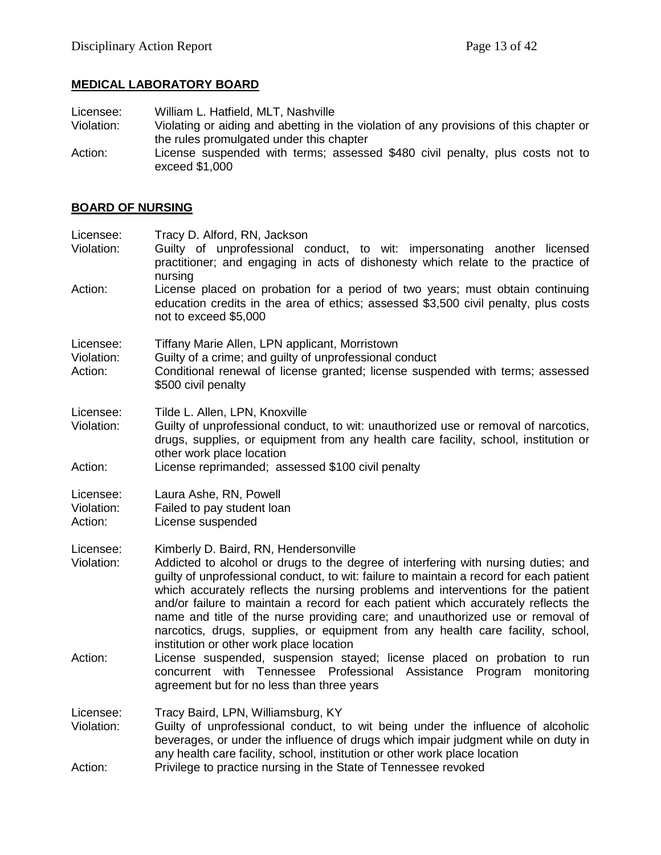# **MEDICAL LABORATORY BOARD**

Licensee: William L. Hatfield, MLT, Nashville<br>Violation: Violating or aiding and abetting in t Violating or aiding and abetting in the violation of any provisions of this chapter or the rules promulgated under this chapter Action: License suspended with terms; assessed \$480 civil penalty, plus costs not to exceed \$1,000

# **BOARD OF NURSING**

| Licensee:<br>Violation:            | Tracy D. Alford, RN, Jackson<br>Guilty of unprofessional conduct, to wit: impersonating another licensed<br>practitioner; and engaging in acts of dishonesty which relate to the practice of<br>nursing                                                                                                                                                                                                                                                                                                                                                                                                                                                                                                                                                                        |
|------------------------------------|--------------------------------------------------------------------------------------------------------------------------------------------------------------------------------------------------------------------------------------------------------------------------------------------------------------------------------------------------------------------------------------------------------------------------------------------------------------------------------------------------------------------------------------------------------------------------------------------------------------------------------------------------------------------------------------------------------------------------------------------------------------------------------|
| Action:                            | License placed on probation for a period of two years; must obtain continuing<br>education credits in the area of ethics; assessed \$3,500 civil penalty, plus costs<br>not to exceed \$5,000                                                                                                                                                                                                                                                                                                                                                                                                                                                                                                                                                                                  |
| Licensee:<br>Violation:<br>Action: | Tiffany Marie Allen, LPN applicant, Morristown<br>Guilty of a crime; and guilty of unprofessional conduct<br>Conditional renewal of license granted; license suspended with terms; assessed<br>\$500 civil penalty                                                                                                                                                                                                                                                                                                                                                                                                                                                                                                                                                             |
| Licensee:<br>Violation:<br>Action: | Tilde L. Allen, LPN, Knoxville<br>Guilty of unprofessional conduct, to wit: unauthorized use or removal of narcotics,<br>drugs, supplies, or equipment from any health care facility, school, institution or<br>other work place location<br>License reprimanded; assessed \$100 civil penalty                                                                                                                                                                                                                                                                                                                                                                                                                                                                                 |
| Licensee:<br>Violation:<br>Action: | Laura Ashe, RN, Powell<br>Failed to pay student loan<br>License suspended                                                                                                                                                                                                                                                                                                                                                                                                                                                                                                                                                                                                                                                                                                      |
| Licensee:<br>Violation:<br>Action: | Kimberly D. Baird, RN, Hendersonville<br>Addicted to alcohol or drugs to the degree of interfering with nursing duties; and<br>guilty of unprofessional conduct, to wit: failure to maintain a record for each patient<br>which accurately reflects the nursing problems and interventions for the patient<br>and/or failure to maintain a record for each patient which accurately reflects the<br>name and title of the nurse providing care; and unauthorized use or removal of<br>narcotics, drugs, supplies, or equipment from any health care facility, school,<br>institution or other work place location<br>License suspended, suspension stayed; license placed on probation to run<br>concurrent with Tennessee Professional<br>Assistance<br>Program<br>monitoring |
| Licensee:<br>Violation:            | agreement but for no less than three years<br>Tracy Baird, LPN, Williamsburg, KY<br>Guilty of unprofessional conduct, to wit being under the influence of alcoholic<br>beverages, or under the influence of drugs which impair judgment while on duty in<br>any health care facility, school, institution or other work place location                                                                                                                                                                                                                                                                                                                                                                                                                                         |
| Action:                            | Privilege to practice nursing in the State of Tennessee revoked                                                                                                                                                                                                                                                                                                                                                                                                                                                                                                                                                                                                                                                                                                                |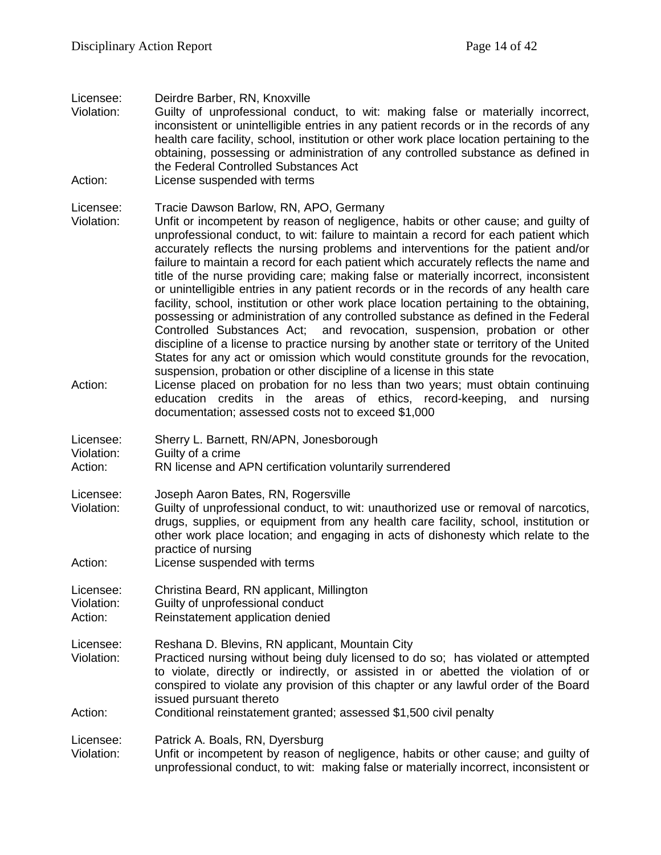#### Licensee: Deirdre Barber, RN, Knoxville

Violation: Guilty of unprofessional conduct, to wit: making false or materially incorrect, inconsistent or unintelligible entries in any patient records or in the records of any health care facility, school, institution or other work place location pertaining to the obtaining, possessing or administration of any controlled substance as defined in the Federal Controlled Substances Act

Action: License suspended with terms

# Licensee: Tracie Dawson Barlow, RN, APO, Germany<br>Violation: Unfit or incompetent by reason of negligenc

Unfit or incompetent by reason of negligence, habits or other cause; and guilty of unprofessional conduct, to wit: failure to maintain a record for each patient which accurately reflects the nursing problems and interventions for the patient and/or failure to maintain a record for each patient which accurately reflects the name and title of the nurse providing care; making false or materially incorrect, inconsistent or unintelligible entries in any patient records or in the records of any health care facility, school, institution or other work place location pertaining to the obtaining, possessing or administration of any controlled substance as defined in the Federal Controlled Substances Act; and revocation, suspension, probation or other discipline of a license to practice nursing by another state or territory of the United States for any act or omission which would constitute grounds for the revocation, suspension, probation or other discipline of a license in this state

Action: License placed on probation for no less than two years; must obtain continuing education credits in the areas of ethics, record-keeping, and nursing documentation; assessed costs not to exceed \$1,000

| Licensee:<br>Sherry L. Barnett, RN/APN, Jonesborough |  |
|------------------------------------------------------|--|
|------------------------------------------------------|--|

Violation: Guilty of a crime

# Action: RN license and APN certification voluntarily surrendered

- Licensee: Joseph Aaron Bates, RN, Rogersville
- Violation: Guilty of unprofessional conduct, to wit: unauthorized use or removal of narcotics, drugs, supplies, or equipment from any health care facility, school, institution or other work place location; and engaging in acts of dishonesty which relate to the practice of nursing
- Action: License suspended with terms
- Licensee: Christina Beard, RN applicant, Millington
- Guilty of unprofessional conduct Action: Reinstatement application denied
- Licensee: Reshana D. Blevins, RN applicant, Mountain City
- Violation: Practiced nursing without being duly licensed to do so; has violated or attempted to violate, directly or indirectly, or assisted in or abetted the violation of or conspired to violate any provision of this chapter or any lawful order of the Board issued pursuant thereto
- Action: Conditional reinstatement granted; assessed \$1,500 civil penalty

Licensee: Patrick A. Boals, RN, Dyersburg

Violation: Unfit or incompetent by reason of negligence, habits or other cause; and guilty of unprofessional conduct, to wit: making false or materially incorrect, inconsistent or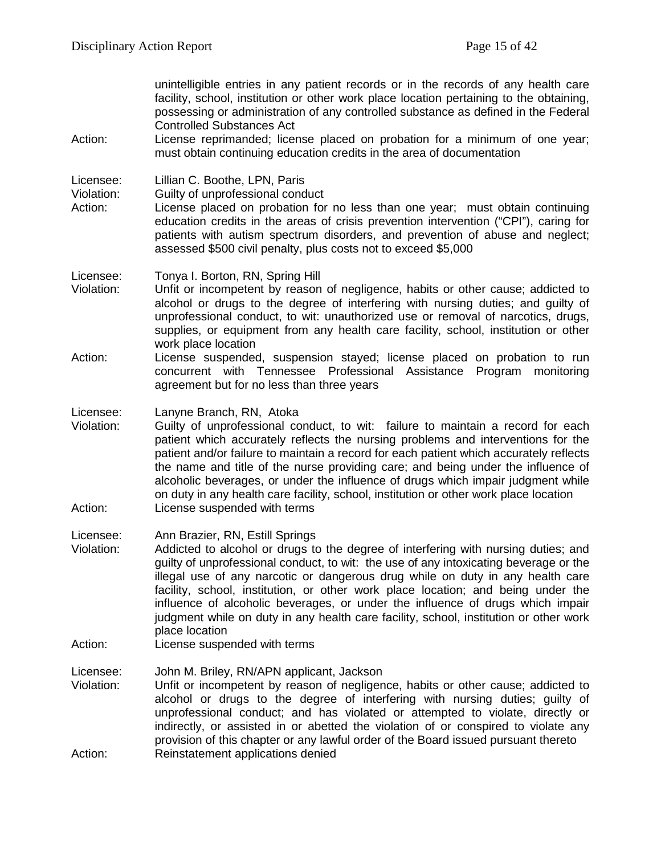unintelligible entries in any patient records or in the records of any health care facility, school, institution or other work place location pertaining to the obtaining, possessing or administration of any controlled substance as defined in the Federal Controlled Substances Act

Action: License reprimanded; license placed on probation for a minimum of one year; must obtain continuing education credits in the area of documentation

Licensee: Lillian C. Boothe, LPN, Paris

Violation: Guilty of unprofessional conduct<br>Action: License placed on probation for

License placed on probation for no less than one year; must obtain continuing education credits in the areas of crisis prevention intervention ("CPI"), caring for patients with autism spectrum disorders, and prevention of abuse and neglect; assessed \$500 civil penalty, plus costs not to exceed \$5,000

Licensee: Tonya I. Borton, RN, Spring Hill

- Violation: Unfit or incompetent by reason of negligence, habits or other cause; addicted to alcohol or drugs to the degree of interfering with nursing duties; and guilty of unprofessional conduct, to wit: unauthorized use or removal of narcotics, drugs, supplies, or equipment from any health care facility, school, institution or other work place location
- Action: License suspended, suspension stayed; license placed on probation to run concurrent with Tennessee Professional Assistance Program monitoring agreement but for no less than three years

Licensee: Lanyne Branch, RN, Atoka

- Violation: Guilty of unprofessional conduct, to wit: failure to maintain a record for each patient which accurately reflects the nursing problems and interventions for the patient and/or failure to maintain a record for each patient which accurately reflects the name and title of the nurse providing care; and being under the influence of alcoholic beverages, or under the influence of drugs which impair judgment while on duty in any health care facility, school, institution or other work place location Action: License suspended with terms
- Licensee: Ann Brazier, RN, Estill Springs
- Violation: Addicted to alcohol or drugs to the degree of interfering with nursing duties; and guilty of unprofessional conduct, to wit: the use of any intoxicating beverage or the illegal use of any narcotic or dangerous drug while on duty in any health care facility, school, institution, or other work place location; and being under the influence of alcoholic beverages, or under the influence of drugs which impair judgment while on duty in any health care facility, school, institution or other work place location
- Action: License suspended with terms

Licensee: John M. Briley, RN/APN applicant, Jackson

Violation: Unfit or incompetent by reason of negligence, habits or other cause; addicted to alcohol or drugs to the degree of interfering with nursing duties; guilty of unprofessional conduct; and has violated or attempted to violate, directly or indirectly, or assisted in or abetted the violation of or conspired to violate any provision of this chapter or any lawful order of the Board issued pursuant thereto Action: Reinstatement applications denied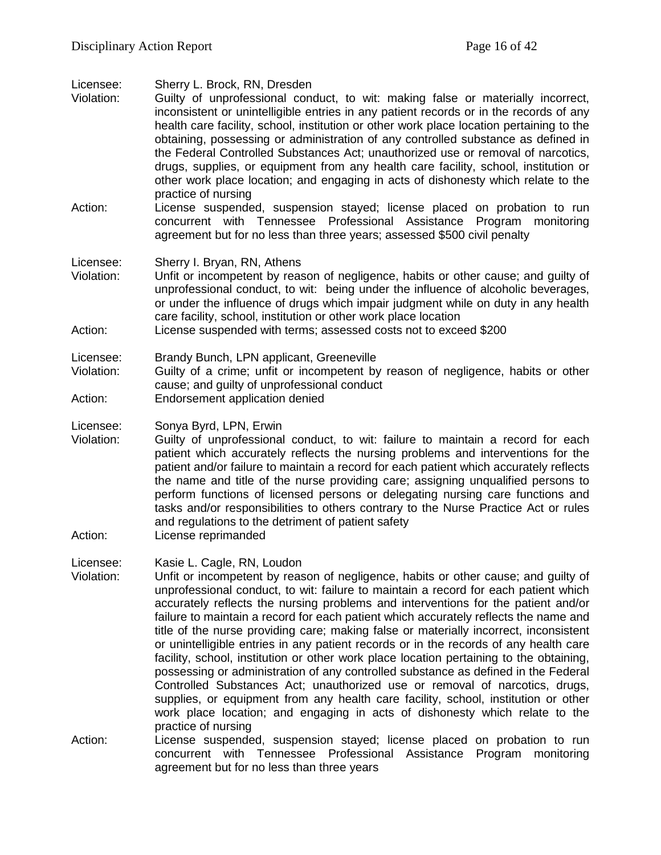| Licensee:<br>Violation:            | Sherry L. Brock, RN, Dresden<br>Guilty of unprofessional conduct, to wit: making false or materially incorrect,<br>inconsistent or unintelligible entries in any patient records or in the records of any<br>health care facility, school, institution or other work place location pertaining to the<br>obtaining, possessing or administration of any controlled substance as defined in<br>the Federal Controlled Substances Act; unauthorized use or removal of narcotics,<br>drugs, supplies, or equipment from any health care facility, school, institution or<br>other work place location; and engaging in acts of dishonesty which relate to the<br>practice of nursing                                                                                                                                                                                                                                                                                                                                                  |
|------------------------------------|------------------------------------------------------------------------------------------------------------------------------------------------------------------------------------------------------------------------------------------------------------------------------------------------------------------------------------------------------------------------------------------------------------------------------------------------------------------------------------------------------------------------------------------------------------------------------------------------------------------------------------------------------------------------------------------------------------------------------------------------------------------------------------------------------------------------------------------------------------------------------------------------------------------------------------------------------------------------------------------------------------------------------------|
| Action:                            | License suspended, suspension stayed; license placed on probation to run<br>concurrent with Tennessee Professional Assistance<br>Program<br>monitoring<br>agreement but for no less than three years; assessed \$500 civil penalty                                                                                                                                                                                                                                                                                                                                                                                                                                                                                                                                                                                                                                                                                                                                                                                                 |
| Licensee:<br>Violation:<br>Action: | Sherry I. Bryan, RN, Athens<br>Unfit or incompetent by reason of negligence, habits or other cause; and guilty of<br>unprofessional conduct, to wit: being under the influence of alcoholic beverages,<br>or under the influence of drugs which impair judgment while on duty in any health<br>care facility, school, institution or other work place location<br>License suspended with terms; assessed costs not to exceed \$200                                                                                                                                                                                                                                                                                                                                                                                                                                                                                                                                                                                                 |
| Licensee:<br>Violation:<br>Action: | Brandy Bunch, LPN applicant, Greeneville<br>Guilty of a crime; unfit or incompetent by reason of negligence, habits or other<br>cause; and guilty of unprofessional conduct<br>Endorsement application denied                                                                                                                                                                                                                                                                                                                                                                                                                                                                                                                                                                                                                                                                                                                                                                                                                      |
| Licensee:<br>Violation:<br>Action: | Sonya Byrd, LPN, Erwin<br>Guilty of unprofessional conduct, to wit: failure to maintain a record for each<br>patient which accurately reflects the nursing problems and interventions for the<br>patient and/or failure to maintain a record for each patient which accurately reflects<br>the name and title of the nurse providing care; assigning unqualified persons to<br>perform functions of licensed persons or delegating nursing care functions and<br>tasks and/or responsibilities to others contrary to the Nurse Practice Act or rules<br>and regulations to the detriment of patient safety<br>License reprimanded                                                                                                                                                                                                                                                                                                                                                                                                  |
| Licensee:<br>Violation:            | Kasie L. Cagle, RN, Loudon<br>Unfit or incompetent by reason of negligence, habits or other cause; and guilty of<br>unprofessional conduct, to wit: failure to maintain a record for each patient which<br>accurately reflects the nursing problems and interventions for the patient and/or<br>failure to maintain a record for each patient which accurately reflects the name and<br>title of the nurse providing care; making false or materially incorrect, inconsistent<br>or unintelligible entries in any patient records or in the records of any health care<br>facility, school, institution or other work place location pertaining to the obtaining,<br>possessing or administration of any controlled substance as defined in the Federal<br>Controlled Substances Act; unauthorized use or removal of narcotics, drugs,<br>supplies, or equipment from any health care facility, school, institution or other<br>work place location; and engaging in acts of dishonesty which relate to the<br>practice of nursing |
| Action:                            | License suspended, suspension stayed; license placed on probation to run<br>concurrent with Tennessee Professional Assistance<br>Program monitoring<br>agreement but for no less than three years                                                                                                                                                                                                                                                                                                                                                                                                                                                                                                                                                                                                                                                                                                                                                                                                                                  |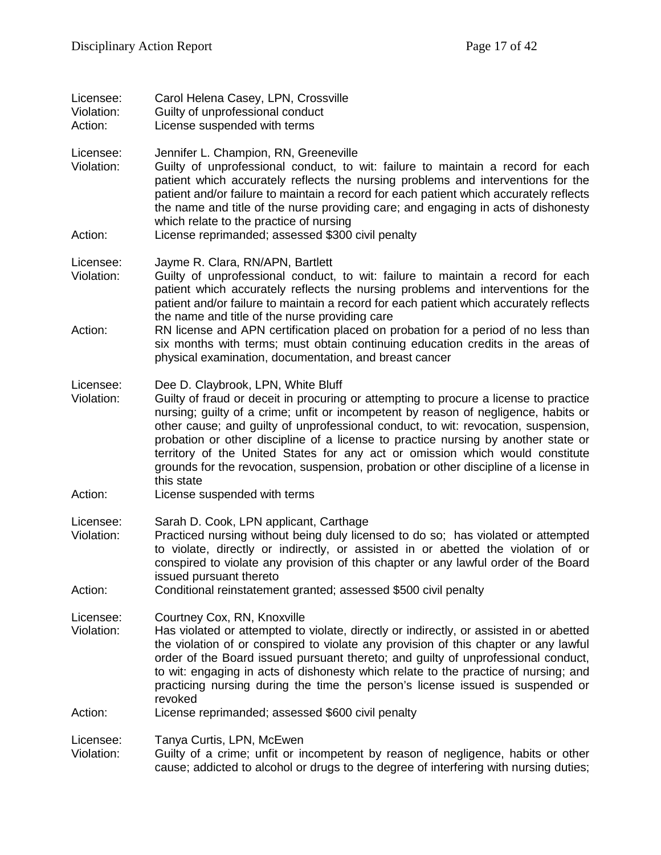| Licensee:<br>Violation:<br>Action: | Carol Helena Casey, LPN, Crossville<br>Guilty of unprofessional conduct<br>License suspended with terms                                                                                                                                                                                                                                                                                                                                                                                                                                                                                |
|------------------------------------|----------------------------------------------------------------------------------------------------------------------------------------------------------------------------------------------------------------------------------------------------------------------------------------------------------------------------------------------------------------------------------------------------------------------------------------------------------------------------------------------------------------------------------------------------------------------------------------|
| Licensee:<br>Violation:<br>Action: | Jennifer L. Champion, RN, Greeneville<br>Guilty of unprofessional conduct, to wit: failure to maintain a record for each<br>patient which accurately reflects the nursing problems and interventions for the<br>patient and/or failure to maintain a record for each patient which accurately reflects<br>the name and title of the nurse providing care; and engaging in acts of dishonesty<br>which relate to the practice of nursing<br>License reprimanded; assessed \$300 civil penalty                                                                                           |
|                                    |                                                                                                                                                                                                                                                                                                                                                                                                                                                                                                                                                                                        |
| Licensee:<br>Violation:            | Jayme R. Clara, RN/APN, Bartlett<br>Guilty of unprofessional conduct, to wit: failure to maintain a record for each<br>patient which accurately reflects the nursing problems and interventions for the<br>patient and/or failure to maintain a record for each patient which accurately reflects<br>the name and title of the nurse providing care                                                                                                                                                                                                                                    |
| Action:                            | RN license and APN certification placed on probation for a period of no less than<br>six months with terms; must obtain continuing education credits in the areas of<br>physical examination, documentation, and breast cancer                                                                                                                                                                                                                                                                                                                                                         |
| Licensee:<br>Violation:            | Dee D. Claybrook, LPN, White Bluff<br>Guilty of fraud or deceit in procuring or attempting to procure a license to practice<br>nursing; guilty of a crime; unfit or incompetent by reason of negligence, habits or<br>other cause; and guilty of unprofessional conduct, to wit: revocation, suspension,<br>probation or other discipline of a license to practice nursing by another state or<br>territory of the United States for any act or omission which would constitute<br>grounds for the revocation, suspension, probation or other discipline of a license in<br>this state |
| Action:                            | License suspended with terms                                                                                                                                                                                                                                                                                                                                                                                                                                                                                                                                                           |
| Licensee:<br>Violation:            | Sarah D. Cook, LPN applicant, Carthage<br>Practiced nursing without being duly licensed to do so; has violated or attempted<br>to violate, directly or indirectly, or assisted in or abetted the violation of or<br>conspired to violate any provision of this chapter or any lawful order of the Board<br>issued pursuant thereto                                                                                                                                                                                                                                                     |
| Action:                            | Conditional reinstatement granted; assessed \$500 civil penalty                                                                                                                                                                                                                                                                                                                                                                                                                                                                                                                        |
| Licensee:<br>Violation:            | Courtney Cox, RN, Knoxville<br>Has violated or attempted to violate, directly or indirectly, or assisted in or abetted<br>the violation of or conspired to violate any provision of this chapter or any lawful<br>order of the Board issued pursuant thereto; and guilty of unprofessional conduct,<br>to wit: engaging in acts of dishonesty which relate to the practice of nursing; and<br>practicing nursing during the time the person's license issued is suspended or<br>revoked                                                                                                |
| Action:                            | License reprimanded; assessed \$600 civil penalty                                                                                                                                                                                                                                                                                                                                                                                                                                                                                                                                      |
| Licensee:<br>Violation:            | Tanya Curtis, LPN, McEwen<br>Guilty of a crime; unfit or incompetent by reason of negligence, habits or other<br>cause; addicted to alcohol or drugs to the degree of interfering with nursing duties;                                                                                                                                                                                                                                                                                                                                                                                 |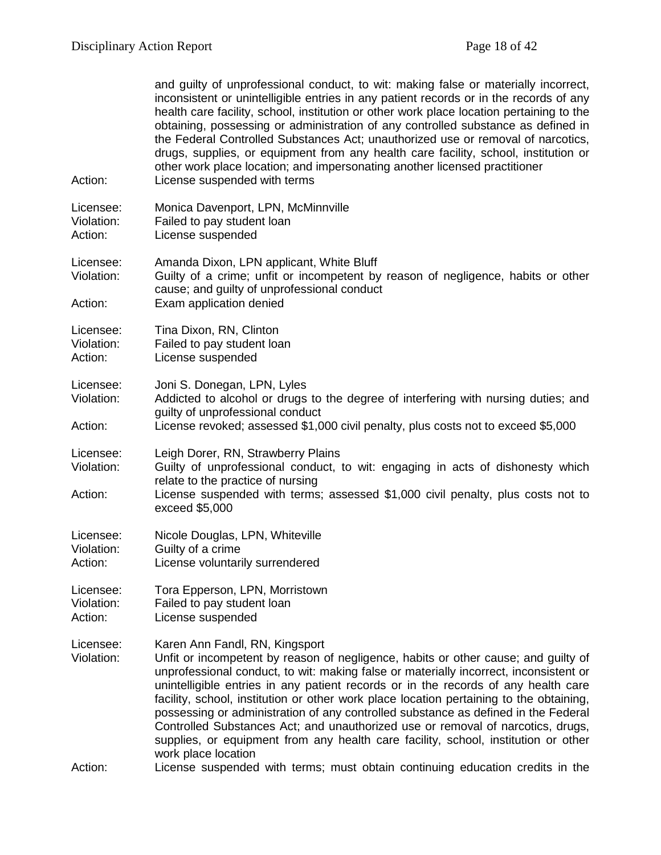| Action:                            | and guilty of unprofessional conduct, to wit: making false or materially incorrect,<br>inconsistent or unintelligible entries in any patient records or in the records of any<br>health care facility, school, institution or other work place location pertaining to the<br>obtaining, possessing or administration of any controlled substance as defined in<br>the Federal Controlled Substances Act; unauthorized use or removal of narcotics,<br>drugs, supplies, or equipment from any health care facility, school, institution or<br>other work place location; and impersonating another licensed practitioner<br>License suspended with terms                              |
|------------------------------------|--------------------------------------------------------------------------------------------------------------------------------------------------------------------------------------------------------------------------------------------------------------------------------------------------------------------------------------------------------------------------------------------------------------------------------------------------------------------------------------------------------------------------------------------------------------------------------------------------------------------------------------------------------------------------------------|
| Licensee:<br>Violation:<br>Action: | Monica Davenport, LPN, McMinnville<br>Failed to pay student loan<br>License suspended                                                                                                                                                                                                                                                                                                                                                                                                                                                                                                                                                                                                |
| Licensee:<br>Violation:<br>Action: | Amanda Dixon, LPN applicant, White Bluff<br>Guilty of a crime; unfit or incompetent by reason of negligence, habits or other<br>cause; and guilty of unprofessional conduct<br>Exam application denied                                                                                                                                                                                                                                                                                                                                                                                                                                                                               |
| Licensee:<br>Violation:<br>Action: | Tina Dixon, RN, Clinton<br>Failed to pay student loan<br>License suspended                                                                                                                                                                                                                                                                                                                                                                                                                                                                                                                                                                                                           |
| Licensee:<br>Violation:<br>Action: | Joni S. Donegan, LPN, Lyles<br>Addicted to alcohol or drugs to the degree of interfering with nursing duties; and<br>guilty of unprofessional conduct<br>License revoked; assessed \$1,000 civil penalty, plus costs not to exceed \$5,000                                                                                                                                                                                                                                                                                                                                                                                                                                           |
| Licensee:<br>Violation:<br>Action: | Leigh Dorer, RN, Strawberry Plains<br>Guilty of unprofessional conduct, to wit: engaging in acts of dishonesty which<br>relate to the practice of nursing<br>License suspended with terms; assessed \$1,000 civil penalty, plus costs not to<br>exceed \$5,000                                                                                                                                                                                                                                                                                                                                                                                                                       |
| Licensee:<br>Violation:<br>Action: | Nicole Douglas, LPN, Whiteville<br>Guilty of a crime<br>License voluntarily surrendered                                                                                                                                                                                                                                                                                                                                                                                                                                                                                                                                                                                              |
| Licensee:<br>Violation:<br>Action: | Tora Epperson, LPN, Morristown<br>Failed to pay student loan<br>License suspended                                                                                                                                                                                                                                                                                                                                                                                                                                                                                                                                                                                                    |
| Licensee:<br>Violation:<br>Action: | Karen Ann Fandl, RN, Kingsport<br>Unfit or incompetent by reason of negligence, habits or other cause; and guilty of<br>unprofessional conduct, to wit: making false or materially incorrect, inconsistent or<br>unintelligible entries in any patient records or in the records of any health care<br>facility, school, institution or other work place location pertaining to the obtaining,<br>possessing or administration of any controlled substance as defined in the Federal<br>Controlled Substances Act; and unauthorized use or removal of narcotics, drugs,<br>supplies, or equipment from any health care facility, school, institution or other<br>work place location |
|                                    | License suspended with terms; must obtain continuing education credits in the                                                                                                                                                                                                                                                                                                                                                                                                                                                                                                                                                                                                        |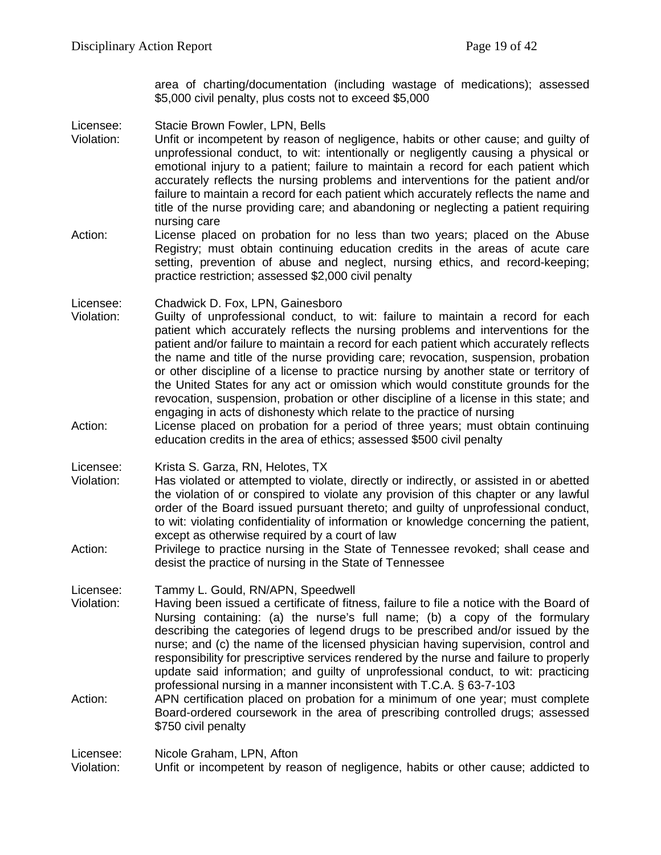area of charting/documentation (including wastage of medications); assessed \$5,000 civil penalty, plus costs not to exceed \$5,000

Licensee: Stacie Brown Fowler, LPN, Bells

Violation: Unfit or incompetent by reason of negligence, habits or other cause; and guilty of unprofessional conduct, to wit: intentionally or negligently causing a physical or emotional injury to a patient; failure to maintain a record for each patient which accurately reflects the nursing problems and interventions for the patient and/or failure to maintain a record for each patient which accurately reflects the name and title of the nurse providing care; and abandoning or neglecting a patient requiring nursing care

Action: License placed on probation for no less than two years; placed on the Abuse Registry; must obtain continuing education credits in the areas of acute care setting, prevention of abuse and neglect, nursing ethics, and record-keeping; practice restriction; assessed \$2,000 civil penalty

Licensee: Chadwick D. Fox, LPN, Gainesboro<br>Violation: Guilty of unprofessional conduct. t

- Guilty of unprofessional conduct, to wit: failure to maintain a record for each patient which accurately reflects the nursing problems and interventions for the patient and/or failure to maintain a record for each patient which accurately reflects the name and title of the nurse providing care; revocation, suspension, probation or other discipline of a license to practice nursing by another state or territory of the United States for any act or omission which would constitute grounds for the revocation, suspension, probation or other discipline of a license in this state; and engaging in acts of dishonesty which relate to the practice of nursing
- Action: License placed on probation for a period of three years; must obtain continuing education credits in the area of ethics; assessed \$500 civil penalty

Licensee: Krista S. Garza, RN, Helotes, TX

- Violation: Has violated or attempted to violate, directly or indirectly, or assisted in or abetted the violation of or conspired to violate any provision of this chapter or any lawful order of the Board issued pursuant thereto; and guilty of unprofessional conduct, to wit: violating confidentiality of information or knowledge concerning the patient, except as otherwise required by a court of law
- Action: Privilege to practice nursing in the State of Tennessee revoked; shall cease and desist the practice of nursing in the State of Tennessee

Licensee: Tammy L. Gould, RN/APN, Speedwell<br>Violation: Having been issued a certificate of fitn

- Having been issued a certificate of fitness, failure to file a notice with the Board of Nursing containing: (a) the nurse's full name; (b) a copy of the formulary describing the categories of legend drugs to be prescribed and/or issued by the nurse; and (c) the name of the licensed physician having supervision, control and responsibility for prescriptive services rendered by the nurse and failure to properly update said information; and guilty of unprofessional conduct, to wit: practicing professional nursing in a manner inconsistent with T.C.A. § 63-7-103
- Action: APN certification placed on probation for a minimum of one year; must complete Board-ordered coursework in the area of prescribing controlled drugs; assessed \$750 civil penalty

Licensee: Nicole Graham, LPN, Afton

Violation: Unfit or incompetent by reason of negligence, habits or other cause; addicted to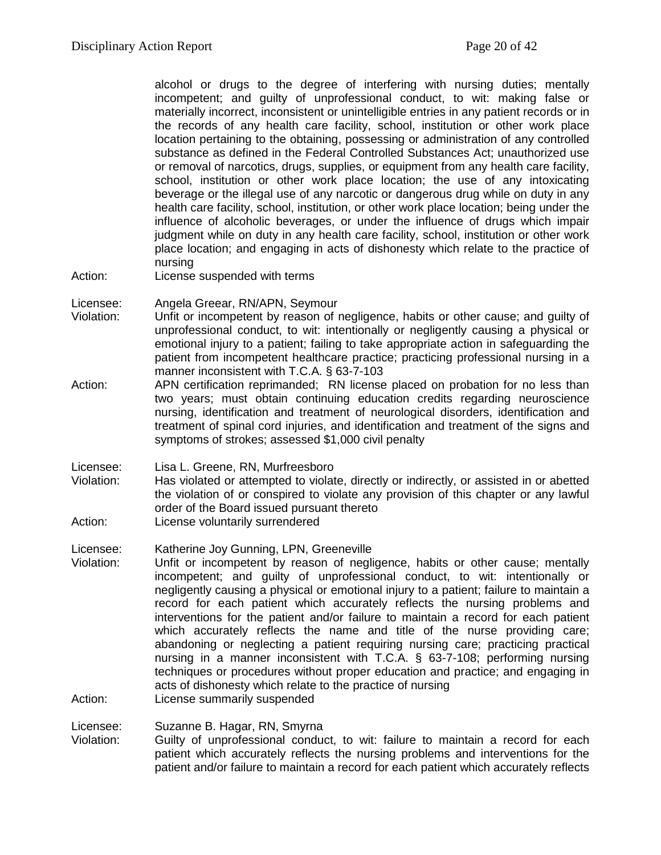alcohol or drugs to the degree of interfering with nursing duties; mentally incompetent; and guilty of unprofessional conduct, to wit: making false or materially incorrect, inconsistent or unintelligible entries in any patient records or in the records of any health care facility, school, institution or other work place location pertaining to the obtaining, possessing or administration of any controlled substance as defined in the Federal Controlled Substances Act; unauthorized use or removal of narcotics, drugs, supplies, or equipment from any health care facility, school, institution or other work place location; the use of any intoxicating beverage or the illegal use of any narcotic or dangerous drug while on duty in any health care facility, school, institution, or other work place location; being under the influence of alcoholic beverages, or under the influence of drugs which impair judgment while on duty in any health care facility, school, institution or other work place location; and engaging in acts of dishonesty which relate to the practice of nursing

Action: License suspended with terms

Licensee: Angela Greear, RN/APN, Seymour

- Violation: Unfit or incompetent by reason of negligence, habits or other cause; and guilty of unprofessional conduct, to wit: intentionally or negligently causing a physical or emotional injury to a patient; failing to take appropriate action in safeguarding the patient from incompetent healthcare practice; practicing professional nursing in a manner inconsistent with T.C.A. § 63-7-103
- Action: APN certification reprimanded; RN license placed on probation for no less than two years; must obtain continuing education credits regarding neuroscience nursing, identification and treatment of neurological disorders, identification and treatment of spinal cord injuries, and identification and treatment of the signs and symptoms of strokes; assessed \$1,000 civil penalty

Licensee: Lisa L. Greene, RN, Murfreesboro

- Violation: Has violated or attempted to violate, directly or indirectly, or assisted in or abetted the violation of or conspired to violate any provision of this chapter or any lawful order of the Board issued pursuant thereto
- Action: License voluntarily surrendered

Licensee: Katherine Joy Gunning, LPN, Greeneville

Violation: Unfit or incompetent by reason of negligence, habits or other cause; mentally incompetent; and guilty of unprofessional conduct, to wit: intentionally or negligently causing a physical or emotional injury to a patient; failure to maintain a record for each patient which accurately reflects the nursing problems and interventions for the patient and/or failure to maintain a record for each patient which accurately reflects the name and title of the nurse providing care; abandoning or neglecting a patient requiring nursing care; practicing practical nursing in a manner inconsistent with T.C.A. § 63-7-108; performing nursing techniques or procedures without proper education and practice; and engaging in acts of dishonesty which relate to the practice of nursing Action: License summarily suspended

Licensee: Suzanne B. Hagar, RN, Smyrna

Violation: Guilty of unprofessional conduct, to wit: failure to maintain a record for each patient which accurately reflects the nursing problems and interventions for the patient and/or failure to maintain a record for each patient which accurately reflects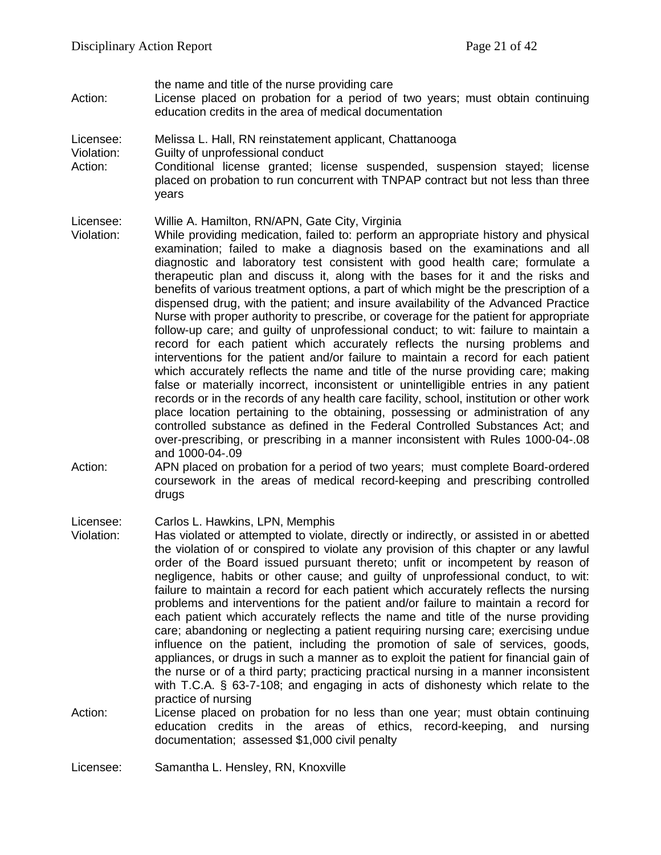- the name and title of the nurse providing care
- Action: License placed on probation for a period of two years; must obtain continuing education credits in the area of medical documentation
- Licensee: Melissa L. Hall, RN reinstatement applicant, Chattanooga
- Violation: Guilty of unprofessional conduct
- Action: Conditional license granted; license suspended, suspension stayed; license placed on probation to run concurrent with TNPAP contract but not less than three years

#### Licensee: Willie A. Hamilton, RN/APN, Gate City, Virginia

- Violation: While providing medication, failed to: perform an appropriate history and physical examination; failed to make a diagnosis based on the examinations and all diagnostic and laboratory test consistent with good health care; formulate a therapeutic plan and discuss it, along with the bases for it and the risks and benefits of various treatment options, a part of which might be the prescription of a dispensed drug, with the patient; and insure availability of the Advanced Practice Nurse with proper authority to prescribe, or coverage for the patient for appropriate follow-up care; and guilty of unprofessional conduct; to wit: failure to maintain a record for each patient which accurately reflects the nursing problems and interventions for the patient and/or failure to maintain a record for each patient which accurately reflects the name and title of the nurse providing care; making false or materially incorrect, inconsistent or unintelligible entries in any patient records or in the records of any health care facility, school, institution or other work place location pertaining to the obtaining, possessing or administration of any controlled substance as defined in the Federal Controlled Substances Act; and over-prescribing, or prescribing in a manner inconsistent with Rules 1000-04-.08 and 1000-04-.09
- Action: APN placed on probation for a period of two years; must complete Board-ordered coursework in the areas of medical record-keeping and prescribing controlled drugs

Licensee: Carlos L. Hawkins, LPN, Memphis

- Violation: Has violated or attempted to violate, directly or indirectly, or assisted in or abetted the violation of or conspired to violate any provision of this chapter or any lawful order of the Board issued pursuant thereto; unfit or incompetent by reason of negligence, habits or other cause; and guilty of unprofessional conduct, to wit: failure to maintain a record for each patient which accurately reflects the nursing problems and interventions for the patient and/or failure to maintain a record for each patient which accurately reflects the name and title of the nurse providing care; abandoning or neglecting a patient requiring nursing care; exercising undue influence on the patient, including the promotion of sale of services, goods, appliances, or drugs in such a manner as to exploit the patient for financial gain of the nurse or of a third party; practicing practical nursing in a manner inconsistent with T.C.A. § 63-7-108; and engaging in acts of dishonesty which relate to the practice of nursing
- Action: License placed on probation for no less than one year; must obtain continuing education credits in the areas of ethics, record-keeping, and nursing documentation; assessed \$1,000 civil penalty

Licensee: Samantha L. Hensley, RN, Knoxville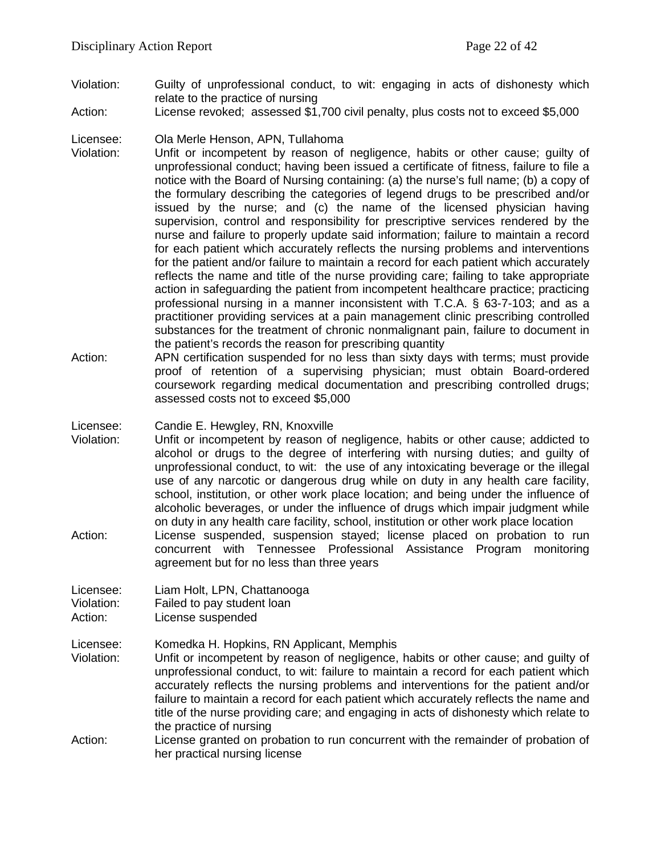- Violation: Guilty of unprofessional conduct, to wit: engaging in acts of dishonesty which relate to the practice of nursing
- Action: License revoked; assessed \$1,700 civil penalty, plus costs not to exceed \$5,000

#### Licensee: Ola Merle Henson, APN, Tullahoma

- Violation: Unfit or incompetent by reason of negligence, habits or other cause; guilty of unprofessional conduct; having been issued a certificate of fitness, failure to file a notice with the Board of Nursing containing: (a) the nurse's full name; (b) a copy of the formulary describing the categories of legend drugs to be prescribed and/or issued by the nurse; and (c) the name of the licensed physician having supervision, control and responsibility for prescriptive services rendered by the nurse and failure to properly update said information; failure to maintain a record for each patient which accurately reflects the nursing problems and interventions for the patient and/or failure to maintain a record for each patient which accurately reflects the name and title of the nurse providing care; failing to take appropriate action in safeguarding the patient from incompetent healthcare practice; practicing professional nursing in a manner inconsistent with T.C.A. § 63-7-103; and as a practitioner providing services at a pain management clinic prescribing controlled substances for the treatment of chronic nonmalignant pain, failure to document in the patient's records the reason for prescribing quantity
- Action: APN certification suspended for no less than sixty days with terms; must provide proof of retention of a supervising physician; must obtain Board-ordered coursework regarding medical documentation and prescribing controlled drugs; assessed costs not to exceed \$5,000

#### Licensee: Candie E. Hewgley, RN, Knoxville

- Violation: Unfit or incompetent by reason of negligence, habits or other cause; addicted to alcohol or drugs to the degree of interfering with nursing duties; and guilty of unprofessional conduct, to wit: the use of any intoxicating beverage or the illegal use of any narcotic or dangerous drug while on duty in any health care facility, school, institution, or other work place location; and being under the influence of alcoholic beverages, or under the influence of drugs which impair judgment while on duty in any health care facility, school, institution or other work place location Action: License suspended, suspension stayed; license placed on probation to run
- concurrent with Tennessee Professional Assistance Program monitoring agreement but for no less than three years
- Licensee: Liam Holt, LPN, Chattanooga<br>Violation: Failed to pay student loan Failed to pay student loan
- Action: License suspended
- Licensee: Komedka H. Hopkins, RN Applicant, Memphis
- Violation: Unfit or incompetent by reason of negligence, habits or other cause; and guilty of unprofessional conduct, to wit: failure to maintain a record for each patient which accurately reflects the nursing problems and interventions for the patient and/or failure to maintain a record for each patient which accurately reflects the name and title of the nurse providing care; and engaging in acts of dishonesty which relate to the practice of nursing
- Action: License granted on probation to run concurrent with the remainder of probation of her practical nursing license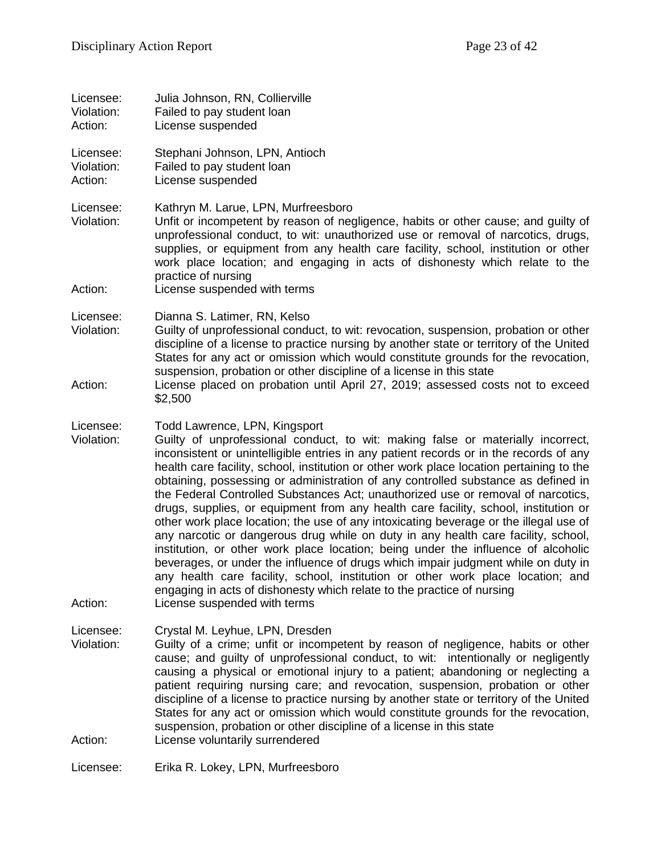| Licensee:<br>Violation:<br>Action: | Julia Johnson, RN, Collierville<br>Failed to pay student loan<br>License suspended                                                                                                                                                                                                                                                                                                                                                                                                                                                                                                                                                                                                                                                                                                                                                                                                                                                                                                                                                                                                                                          |
|------------------------------------|-----------------------------------------------------------------------------------------------------------------------------------------------------------------------------------------------------------------------------------------------------------------------------------------------------------------------------------------------------------------------------------------------------------------------------------------------------------------------------------------------------------------------------------------------------------------------------------------------------------------------------------------------------------------------------------------------------------------------------------------------------------------------------------------------------------------------------------------------------------------------------------------------------------------------------------------------------------------------------------------------------------------------------------------------------------------------------------------------------------------------------|
| Licensee:<br>Violation:<br>Action: | Stephani Johnson, LPN, Antioch<br>Failed to pay student loan<br>License suspended                                                                                                                                                                                                                                                                                                                                                                                                                                                                                                                                                                                                                                                                                                                                                                                                                                                                                                                                                                                                                                           |
| Licensee:<br>Violation:<br>Action: | Kathryn M. Larue, LPN, Murfreesboro<br>Unfit or incompetent by reason of negligence, habits or other cause; and guilty of<br>unprofessional conduct, to wit: unauthorized use or removal of narcotics, drugs,<br>supplies, or equipment from any health care facility, school, institution or other<br>work place location; and engaging in acts of dishonesty which relate to the<br>practice of nursing<br>License suspended with terms                                                                                                                                                                                                                                                                                                                                                                                                                                                                                                                                                                                                                                                                                   |
| Licensee:<br>Violation:<br>Action: | Dianna S. Latimer, RN, Kelso<br>Guilty of unprofessional conduct, to wit: revocation, suspension, probation or other<br>discipline of a license to practice nursing by another state or territory of the United<br>States for any act or omission which would constitute grounds for the revocation,<br>suspension, probation or other discipline of a license in this state<br>License placed on probation until April 27, 2019; assessed costs not to exceed<br>\$2,500                                                                                                                                                                                                                                                                                                                                                                                                                                                                                                                                                                                                                                                   |
| Licensee:<br>Violation:<br>Action: | Todd Lawrence, LPN, Kingsport<br>Guilty of unprofessional conduct, to wit: making false or materially incorrect,<br>inconsistent or unintelligible entries in any patient records or in the records of any<br>health care facility, school, institution or other work place location pertaining to the<br>obtaining, possessing or administration of any controlled substance as defined in<br>the Federal Controlled Substances Act; unauthorized use or removal of narcotics,<br>drugs, supplies, or equipment from any health care facility, school, institution or<br>other work place location; the use of any intoxicating beverage or the illegal use of<br>any narcotic or dangerous drug while on duty in any health care facility, school,<br>institution, or other work place location; being under the influence of alcoholic<br>beverages, or under the influence of drugs which impair judgment while on duty in<br>any health care facility, school, institution or other work place location; and<br>engaging in acts of dishonesty which relate to the practice of nursing<br>License suspended with terms |
| Licensee:<br>Violation:<br>Action: | Crystal M. Leyhue, LPN, Dresden<br>Guilty of a crime; unfit or incompetent by reason of negligence, habits or other<br>cause; and guilty of unprofessional conduct, to wit: intentionally or negligently<br>causing a physical or emotional injury to a patient; abandoning or neglecting a<br>patient requiring nursing care; and revocation, suspension, probation or other<br>discipline of a license to practice nursing by another state or territory of the United<br>States for any act or omission which would constitute grounds for the revocation,<br>suspension, probation or other discipline of a license in this state<br>License voluntarily surrendered                                                                                                                                                                                                                                                                                                                                                                                                                                                    |
| Licensee:                          | Erika R. Lokey, LPN, Murfreesboro                                                                                                                                                                                                                                                                                                                                                                                                                                                                                                                                                                                                                                                                                                                                                                                                                                                                                                                                                                                                                                                                                           |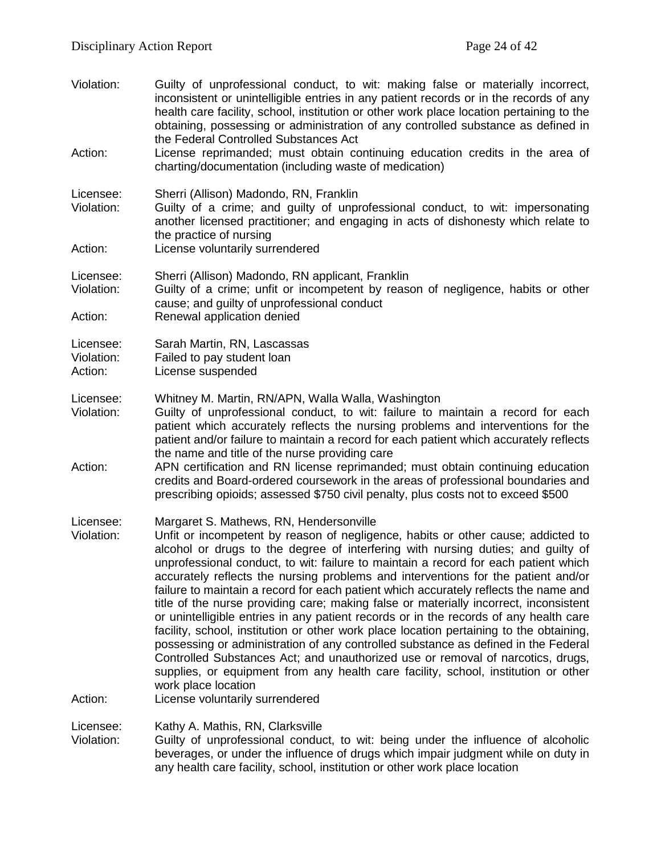Violation: Guilty of unprofessional conduct, to wit: making false or materially incorrect, inconsistent or unintelligible entries in any patient records or in the records of any health care facility, school, institution or other work place location pertaining to the obtaining, possessing or administration of any controlled substance as defined in the Federal Controlled Substances Act Action: License reprimanded; must obtain continuing education credits in the area of charting/documentation (including waste of medication) Licensee: Sherri (Allison) Madondo, RN, Franklin<br>Violation: Guilty of a crime: and quilty of unpr Guilty of a crime; and guilty of unprofessional conduct, to wit: impersonating another licensed practitioner; and engaging in acts of dishonesty which relate to the practice of nursing Action: License voluntarily surrendered Licensee: Sherri (Allison) Madondo, RN applicant, Franklin Violation: Guilty of a crime; unfit or incompetent by reason of negligence, habits or other cause; and guilty of unprofessional conduct Action: Renewal application denied Licensee: Sarah Martin, RN, Lascassas Violation: Failed to pay student loan Action: License suspended Licensee: Whitney M. Martin, RN/APN, Walla Walla, Washington<br>Violation: Guilty of unprofessional conduct. to wit: failure to m Guilty of unprofessional conduct, to wit: failure to maintain a record for each patient which accurately reflects the nursing problems and interventions for the patient and/or failure to maintain a record for each patient which accurately reflects the name and title of the nurse providing care Action: APN certification and RN license reprimanded; must obtain continuing education credits and Board-ordered coursework in the areas of professional boundaries and prescribing opioids; assessed \$750 civil penalty, plus costs not to exceed \$500 Licensee: Margaret S. Mathews, RN, Hendersonville<br>Violation: Unfit or incompetent by reason of neglige Unfit or incompetent by reason of negligence, habits or other cause; addicted to alcohol or drugs to the degree of interfering with nursing duties; and guilty of unprofessional conduct, to wit: failure to maintain a record for each patient which accurately reflects the nursing problems and interventions for the patient and/or failure to maintain a record for each patient which accurately reflects the name and title of the nurse providing care; making false or materially incorrect, inconsistent or unintelligible entries in any patient records or in the records of any health care facility, school, institution or other work place location pertaining to the obtaining, possessing or administration of any controlled substance as defined in the Federal Controlled Substances Act; and unauthorized use or removal of narcotics, drugs, supplies, or equipment from any health care facility, school, institution or other work place location Action: License voluntarily surrendered Licensee: Kathy A. Mathis, RN, Clarksville Violation: Guilty of unprofessional conduct, to wit: being under the influence of alcoholic beverages, or under the influence of drugs which impair judgment while on duty in

any health care facility, school, institution or other work place location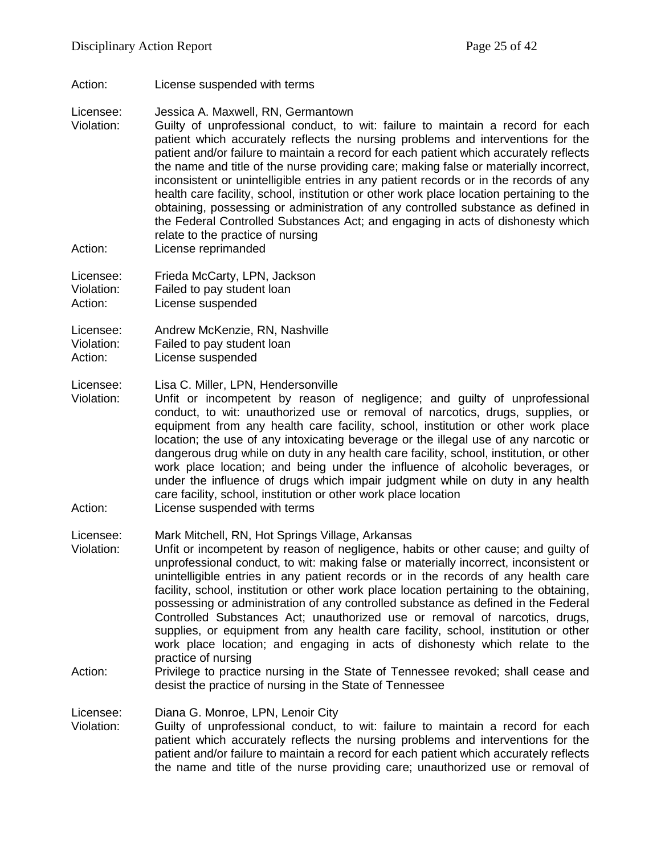Action: License suspended with terms

Licensee: Jessica A. Maxwell, RN, Germantown

- Violation: Guilty of unprofessional conduct, to wit: failure to maintain a record for each patient which accurately reflects the nursing problems and interventions for the patient and/or failure to maintain a record for each patient which accurately reflects the name and title of the nurse providing care; making false or materially incorrect, inconsistent or unintelligible entries in any patient records or in the records of any health care facility, school, institution or other work place location pertaining to the obtaining, possessing or administration of any controlled substance as defined in the Federal Controlled Substances Act; and engaging in acts of dishonesty which relate to the practice of nursing
- Action: License reprimanded

Licensee: Frieda McCarty, LPN, Jackson Violation: Failed to pay student loan Action: License suspended

Licensee: Andrew McKenzie, RN, Nashville Violation: Failed to pay student loan

Action: License suspended

Licensee: Lisa C. Miller, LPN, Hendersonville<br>Violation: Unfit or incompetent by reason

Unfit or incompetent by reason of negligence; and guilty of unprofessional conduct, to wit: unauthorized use or removal of narcotics, drugs, supplies, or equipment from any health care facility, school, institution or other work place location; the use of any intoxicating beverage or the illegal use of any narcotic or dangerous drug while on duty in any health care facility, school, institution, or other work place location; and being under the influence of alcoholic beverages, or under the influence of drugs which impair judgment while on duty in any health care facility, school, institution or other work place location

Action: License suspended with terms

Licensee: Mark Mitchell, RN, Hot Springs Village, Arkansas

- Violation: Unfit or incompetent by reason of negligence, habits or other cause; and guilty of unprofessional conduct, to wit: making false or materially incorrect, inconsistent or unintelligible entries in any patient records or in the records of any health care facility, school, institution or other work place location pertaining to the obtaining, possessing or administration of any controlled substance as defined in the Federal Controlled Substances Act; unauthorized use or removal of narcotics, drugs, supplies, or equipment from any health care facility, school, institution or other work place location; and engaging in acts of dishonesty which relate to the practice of nursing
- Action: Privilege to practice nursing in the State of Tennessee revoked; shall cease and desist the practice of nursing in the State of Tennessee

Licensee: Diana G. Monroe, LPN, Lenoir City<br>Violation: Guilty of unprofessional conduct.

Guilty of unprofessional conduct, to wit: failure to maintain a record for each patient which accurately reflects the nursing problems and interventions for the patient and/or failure to maintain a record for each patient which accurately reflects the name and title of the nurse providing care; unauthorized use or removal of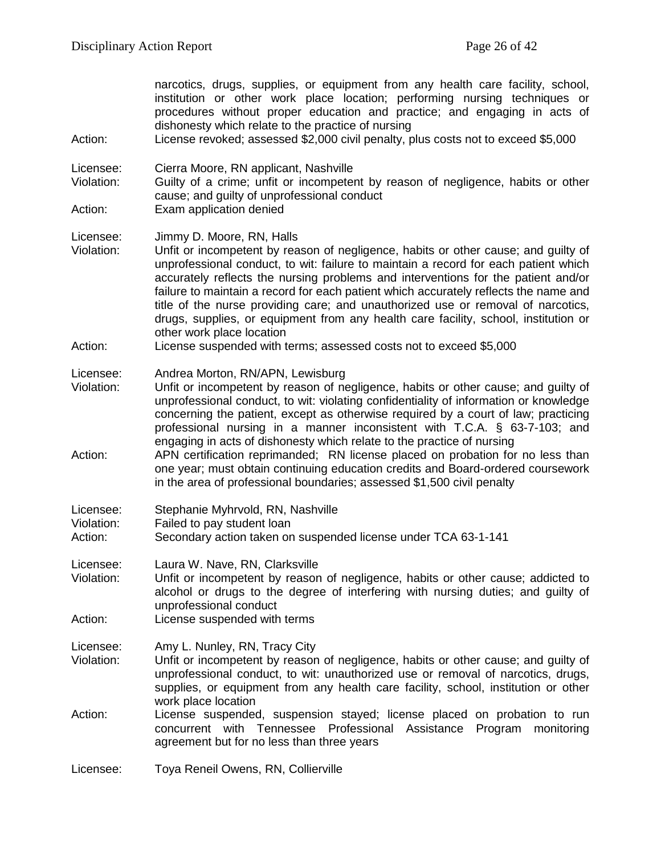| Action:                            | narcotics, drugs, supplies, or equipment from any health care facility, school,<br>institution or other work place location; performing nursing techniques or<br>procedures without proper education and practice; and engaging in acts of<br>dishonesty which relate to the practice of nursing<br>License revoked; assessed \$2,000 civil penalty, plus costs not to exceed \$5,000                                                                                                                                                                                                       |
|------------------------------------|---------------------------------------------------------------------------------------------------------------------------------------------------------------------------------------------------------------------------------------------------------------------------------------------------------------------------------------------------------------------------------------------------------------------------------------------------------------------------------------------------------------------------------------------------------------------------------------------|
| Licensee:<br>Violation:            | Cierra Moore, RN applicant, Nashville<br>Guilty of a crime; unfit or incompetent by reason of negligence, habits or other<br>cause; and guilty of unprofessional conduct                                                                                                                                                                                                                                                                                                                                                                                                                    |
| Action:                            | Exam application denied                                                                                                                                                                                                                                                                                                                                                                                                                                                                                                                                                                     |
| Licensee:<br>Violation:            | Jimmy D. Moore, RN, Halls<br>Unfit or incompetent by reason of negligence, habits or other cause; and guilty of<br>unprofessional conduct, to wit: failure to maintain a record for each patient which<br>accurately reflects the nursing problems and interventions for the patient and/or<br>failure to maintain a record for each patient which accurately reflects the name and<br>title of the nurse providing care; and unauthorized use or removal of narcotics,<br>drugs, supplies, or equipment from any health care facility, school, institution or<br>other work place location |
| Action:                            | License suspended with terms; assessed costs not to exceed \$5,000                                                                                                                                                                                                                                                                                                                                                                                                                                                                                                                          |
| Licensee:<br>Violation:            | Andrea Morton, RN/APN, Lewisburg<br>Unfit or incompetent by reason of negligence, habits or other cause; and guilty of<br>unprofessional conduct, to wit: violating confidentiality of information or knowledge<br>concerning the patient, except as otherwise required by a court of law; practicing<br>professional nursing in a manner inconsistent with T.C.A. § 63-7-103; and<br>engaging in acts of dishonesty which relate to the practice of nursing                                                                                                                                |
| Action:                            | APN certification reprimanded; RN license placed on probation for no less than<br>one year; must obtain continuing education credits and Board-ordered coursework<br>in the area of professional boundaries; assessed \$1,500 civil penalty                                                                                                                                                                                                                                                                                                                                                 |
| Licensee:<br>Violation:<br>Action: | Stephanie Myhrvold, RN, Nashville<br>Failed to pay student loan<br>Secondary action taken on suspended license under TCA 63-1-141                                                                                                                                                                                                                                                                                                                                                                                                                                                           |
| Licensee:<br>Violation:            | Laura W. Nave, RN, Clarksville<br>Unfit or incompetent by reason of negligence, habits or other cause; addicted to<br>alcohol or drugs to the degree of interfering with nursing duties; and guilty of<br>unprofessional conduct                                                                                                                                                                                                                                                                                                                                                            |
| Action:                            | License suspended with terms                                                                                                                                                                                                                                                                                                                                                                                                                                                                                                                                                                |
| Licensee:<br>Violation:            | Amy L. Nunley, RN, Tracy City<br>Unfit or incompetent by reason of negligence, habits or other cause; and guilty of<br>unprofessional conduct, to wit: unauthorized use or removal of narcotics, drugs,<br>supplies, or equipment from any health care facility, school, institution or other<br>work place location                                                                                                                                                                                                                                                                        |
| Action:                            | License suspended, suspension stayed; license placed on probation to run<br>concurrent with Tennessee Professional<br>Assistance<br>Program<br>monitoring<br>agreement but for no less than three years                                                                                                                                                                                                                                                                                                                                                                                     |
| Licensee:                          | Toya Reneil Owens, RN, Collierville                                                                                                                                                                                                                                                                                                                                                                                                                                                                                                                                                         |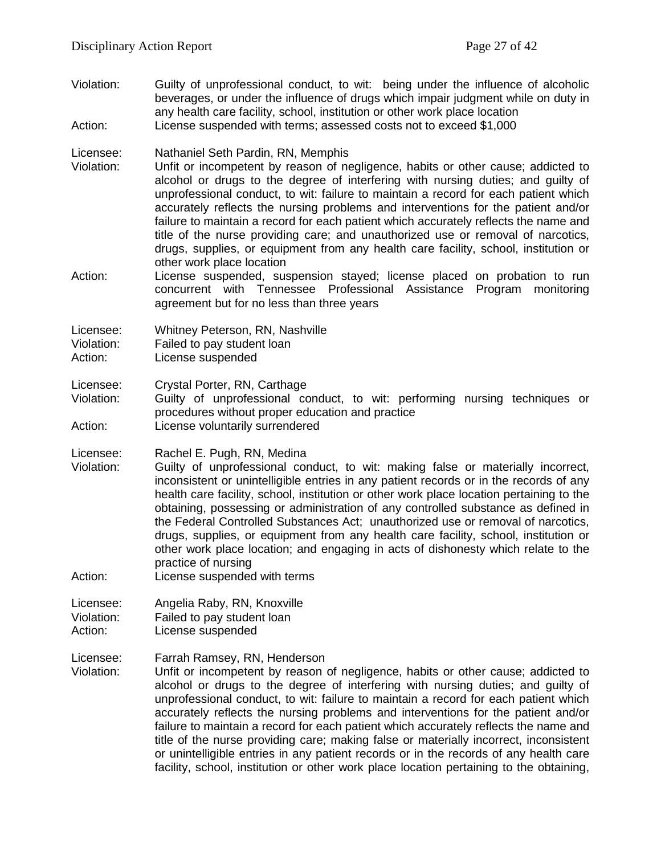- Violation: Guilty of unprofessional conduct, to wit: being under the influence of alcoholic beverages, or under the influence of drugs which impair judgment while on duty in any health care facility, school, institution or other work place location
- Action: License suspended with terms; assessed costs not to exceed \$1,000
- Licensee: Nathaniel Seth Pardin, RN, Memphis
- Violation: Unfit or incompetent by reason of negligence, habits or other cause; addicted to alcohol or drugs to the degree of interfering with nursing duties; and guilty of unprofessional conduct, to wit: failure to maintain a record for each patient which accurately reflects the nursing problems and interventions for the patient and/or failure to maintain a record for each patient which accurately reflects the name and title of the nurse providing care; and unauthorized use or removal of narcotics, drugs, supplies, or equipment from any health care facility, school, institution or other work place location
- Action: License suspended, suspension stayed; license placed on probation to run concurrent with Tennessee Professional Assistance Program monitoring agreement but for no less than three years

Licensee: Whitney Peterson, RN, Nashville

Violation: Failed to pay student loan

Action: License suspended

Licensee: Crystal Porter, RN, Carthage<br>Violation: Guilty of unprofessional co

Guilty of unprofessional conduct, to wit: performing nursing techniques or procedures without proper education and practice Action: License voluntarily surrendered

Licensee: Rachel E. Pugh, RN, Medina

- Violation: Guilty of unprofessional conduct, to wit: making false or materially incorrect, inconsistent or unintelligible entries in any patient records or in the records of any health care facility, school, institution or other work place location pertaining to the obtaining, possessing or administration of any controlled substance as defined in the Federal Controlled Substances Act; unauthorized use or removal of narcotics, drugs, supplies, or equipment from any health care facility, school, institution or other work place location; and engaging in acts of dishonesty which relate to the practice of nursing
- Action: License suspended with terms

Licensee: Angelia Raby, RN, Knoxville

- Violation: Failed to pay student loan
- Action: License suspended
- Licensee: Farrah Ramsey, RN, Henderson
- Violation: Unfit or incompetent by reason of negligence, habits or other cause; addicted to alcohol or drugs to the degree of interfering with nursing duties; and guilty of unprofessional conduct, to wit: failure to maintain a record for each patient which accurately reflects the nursing problems and interventions for the patient and/or failure to maintain a record for each patient which accurately reflects the name and title of the nurse providing care; making false or materially incorrect, inconsistent or unintelligible entries in any patient records or in the records of any health care facility, school, institution or other work place location pertaining to the obtaining,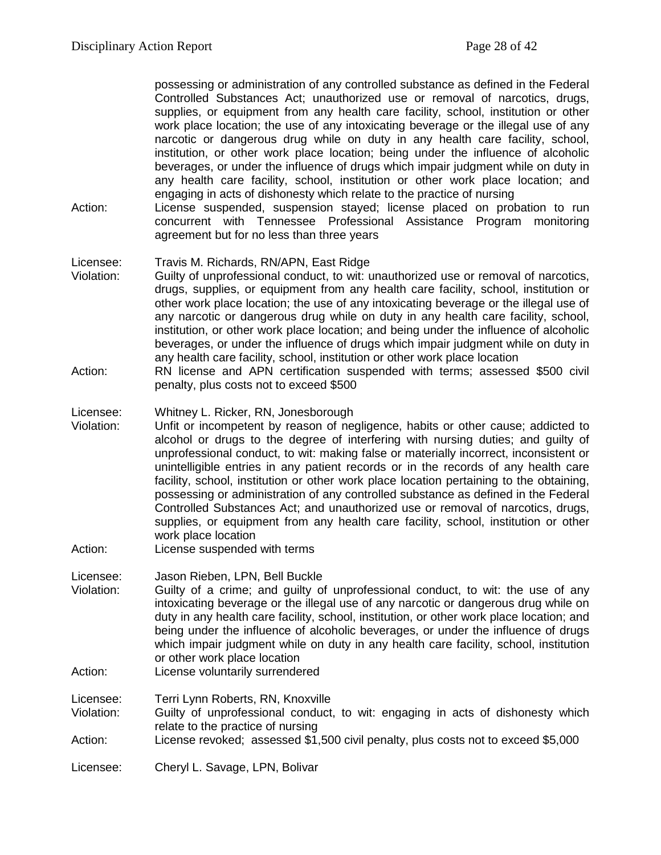possessing or administration of any controlled substance as defined in the Federal Controlled Substances Act; unauthorized use or removal of narcotics, drugs, supplies, or equipment from any health care facility, school, institution or other work place location; the use of any intoxicating beverage or the illegal use of any narcotic or dangerous drug while on duty in any health care facility, school, institution, or other work place location; being under the influence of alcoholic beverages, or under the influence of drugs which impair judgment while on duty in any health care facility, school, institution or other work place location; and engaging in acts of dishonesty which relate to the practice of nursing

- Action: License suspended, suspension stayed; license placed on probation to run concurrent with Tennessee Professional Assistance Program monitoring agreement but for no less than three years
- Licensee: Travis M. Richards, RN/APN, East Ridge<br>Violation: Guilty of unprofessional conduct, to wit: u
- Guilty of unprofessional conduct, to wit: unauthorized use or removal of narcotics, drugs, supplies, or equipment from any health care facility, school, institution or other work place location; the use of any intoxicating beverage or the illegal use of any narcotic or dangerous drug while on duty in any health care facility, school, institution, or other work place location; and being under the influence of alcoholic beverages, or under the influence of drugs which impair judgment while on duty in any health care facility, school, institution or other work place location
- Action: RN license and APN certification suspended with terms; assessed \$500 civil penalty, plus costs not to exceed \$500

Licensee: Whitney L. Ricker, RN, Jonesborough

- Violation: Unfit or incompetent by reason of negligence, habits or other cause; addicted to alcohol or drugs to the degree of interfering with nursing duties; and guilty of unprofessional conduct, to wit: making false or materially incorrect, inconsistent or unintelligible entries in any patient records or in the records of any health care facility, school, institution or other work place location pertaining to the obtaining, possessing or administration of any controlled substance as defined in the Federal Controlled Substances Act; and unauthorized use or removal of narcotics, drugs, supplies, or equipment from any health care facility, school, institution or other work place location
- Action: License suspended with terms
- Licensee: Jason Rieben, LPN, Bell Buckle
- Violation: Guilty of a crime; and guilty of unprofessional conduct, to wit: the use of any intoxicating beverage or the illegal use of any narcotic or dangerous drug while on duty in any health care facility, school, institution, or other work place location; and being under the influence of alcoholic beverages, or under the influence of drugs which impair judgment while on duty in any health care facility, school, institution or other work place location
- Action: License voluntarily surrendered

Licensee: Terri Lynn Roberts, RN, Knoxville<br>Violation: Guilty of unprofessional conduct

- Guilty of unprofessional conduct, to wit: engaging in acts of dishonesty which relate to the practice of nursing
- Action: License revoked; assessed \$1,500 civil penalty, plus costs not to exceed \$5,000
- Licensee: Cheryl L. Savage, LPN, Bolivar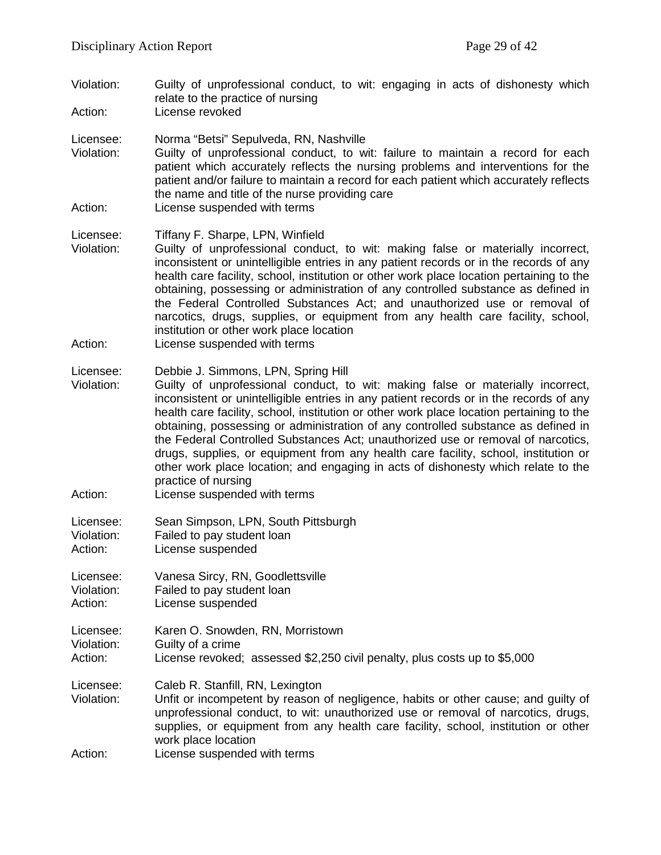Violation: Guilty of unprofessional conduct, to wit: engaging in acts of dishonesty which relate to the practice of nursing

Action: License revoked

- Licensee: Norma "Betsi" Sepulveda, RN, Nashville
- Violation: Guilty of unprofessional conduct, to wit: failure to maintain a record for each patient which accurately reflects the nursing problems and interventions for the patient and/or failure to maintain a record for each patient which accurately reflects the name and title of the nurse providing care
- Action: License suspended with terms

#### Licensee: Tiffany F. Sharpe, LPN, Winfield

- Violation: Guilty of unprofessional conduct, to wit: making false or materially incorrect, inconsistent or unintelligible entries in any patient records or in the records of any health care facility, school, institution or other work place location pertaining to the obtaining, possessing or administration of any controlled substance as defined in the Federal Controlled Substances Act; and unauthorized use or removal of narcotics, drugs, supplies, or equipment from any health care facility, school, institution or other work place location
- Action: License suspended with terms

#### Licensee: Debbie J. Simmons, LPN, Spring Hill

- Violation: Guilty of unprofessional conduct, to wit: making false or materially incorrect, inconsistent or unintelligible entries in any patient records or in the records of any health care facility, school, institution or other work place location pertaining to the obtaining, possessing or administration of any controlled substance as defined in the Federal Controlled Substances Act; unauthorized use or removal of narcotics, drugs, supplies, or equipment from any health care facility, school, institution or other work place location; and engaging in acts of dishonesty which relate to the practice of nursing
- Action: License suspended with terms

| Licensee:  | Sean Simpson, LPN, South Pittsburgh |
|------------|-------------------------------------|
| Violation: | Failed to pay student loan          |
| Action:    | License suspended                   |

Licensee: Vanesa Sircy, RN, Goodlettsville Violation: Failed to pay student loan

Action: License suspended

Licensee: Karen O. Snowden, RN, Morristown Violation: Guilty of a crime Action: License revoked; assessed \$2,250 civil penalty, plus costs up to \$5,000

- Licensee: Caleb R. Stanfill, RN, Lexington
- Violation: Unfit or incompetent by reason of negligence, habits or other cause; and guilty of unprofessional conduct, to wit: unauthorized use or removal of narcotics, drugs, supplies, or equipment from any health care facility, school, institution or other work place location

Action: License suspended with terms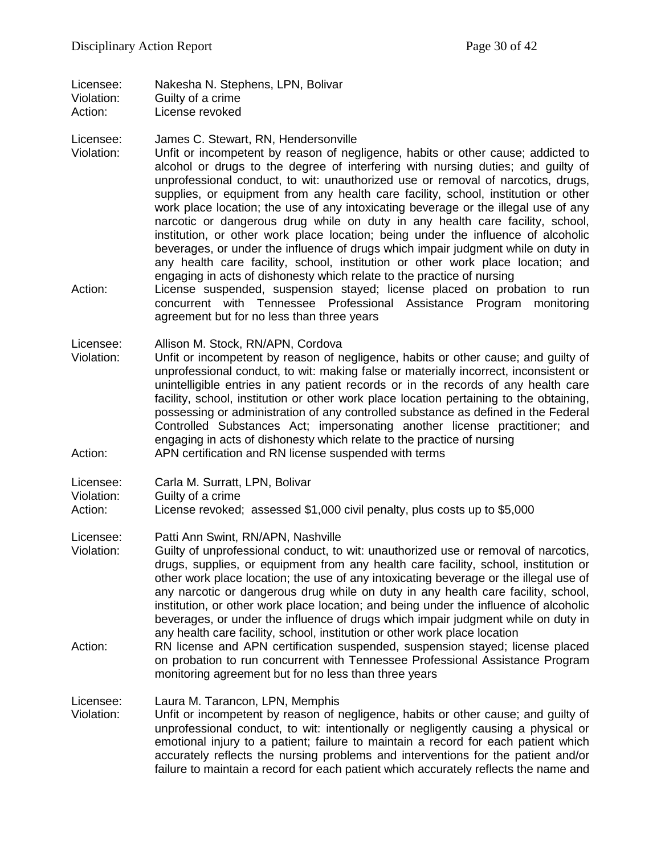Licensee: Nakesha N. Stephens, LPN, Bolivar Violation: Guilty of a crime Action: License revoked

#### Licensee: James C. Stewart, RN, Hendersonville

- Violation: Unfit or incompetent by reason of negligence, habits or other cause; addicted to alcohol or drugs to the degree of interfering with nursing duties; and guilty of unprofessional conduct, to wit: unauthorized use or removal of narcotics, drugs, supplies, or equipment from any health care facility, school, institution or other work place location; the use of any intoxicating beverage or the illegal use of any narcotic or dangerous drug while on duty in any health care facility, school, institution, or other work place location; being under the influence of alcoholic beverages, or under the influence of drugs which impair judgment while on duty in any health care facility, school, institution or other work place location; and engaging in acts of dishonesty which relate to the practice of nursing
- Action: License suspended, suspension stayed; license placed on probation to run concurrent with Tennessee Professional Assistance Program monitoring agreement but for no less than three years

Licensee: Allison M. Stock, RN/APN, Cordova

- Violation: Unfit or incompetent by reason of negligence, habits or other cause; and guilty of unprofessional conduct, to wit: making false or materially incorrect, inconsistent or unintelligible entries in any patient records or in the records of any health care facility, school, institution or other work place location pertaining to the obtaining, possessing or administration of any controlled substance as defined in the Federal Controlled Substances Act; impersonating another license practitioner; and engaging in acts of dishonesty which relate to the practice of nursing Action: APN certification and RN license suspended with terms
- Licensee: Carla M. Surratt, LPN, Bolivar
- Violation: Guilty of a crime
- Action: License revoked; assessed \$1,000 civil penalty, plus costs up to \$5,000
- Licensee: Patti Ann Swint, RN/APN, Nashville
- Violation: Guilty of unprofessional conduct, to wit: unauthorized use or removal of narcotics, drugs, supplies, or equipment from any health care facility, school, institution or other work place location; the use of any intoxicating beverage or the illegal use of any narcotic or dangerous drug while on duty in any health care facility, school, institution, or other work place location; and being under the influence of alcoholic beverages, or under the influence of drugs which impair judgment while on duty in any health care facility, school, institution or other work place location
- Action: RN license and APN certification suspended, suspension stayed; license placed on probation to run concurrent with Tennessee Professional Assistance Program monitoring agreement but for no less than three years

#### Licensee: Laura M. Tarancon, LPN, Memphis

Violation: Unfit or incompetent by reason of negligence, habits or other cause; and guilty of unprofessional conduct, to wit: intentionally or negligently causing a physical or emotional injury to a patient; failure to maintain a record for each patient which accurately reflects the nursing problems and interventions for the patient and/or failure to maintain a record for each patient which accurately reflects the name and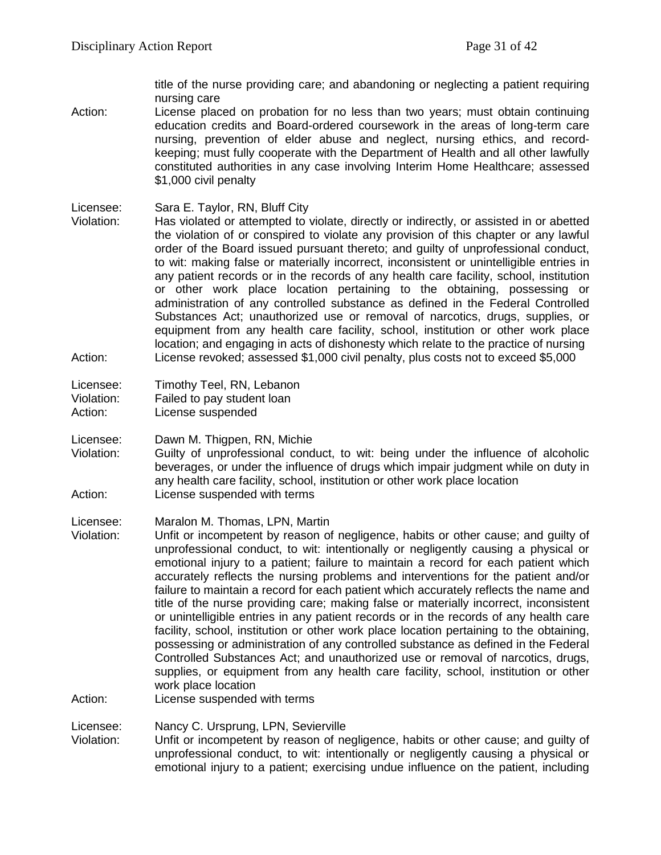title of the nurse providing care; and abandoning or neglecting a patient requiring nursing care

- Action: License placed on probation for no less than two years; must obtain continuing education credits and Board-ordered coursework in the areas of long-term care nursing, prevention of elder abuse and neglect, nursing ethics, and recordkeeping; must fully cooperate with the Department of Health and all other lawfully constituted authorities in any case involving Interim Home Healthcare; assessed \$1,000 civil penalty
- Licensee: Sara E. Taylor, RN, Bluff City<br>Violation: Has violated or attempted to
- Has violated or attempted to violate, directly or indirectly, or assisted in or abetted the violation of or conspired to violate any provision of this chapter or any lawful order of the Board issued pursuant thereto; and guilty of unprofessional conduct, to wit: making false or materially incorrect, inconsistent or unintelligible entries in any patient records or in the records of any health care facility, school, institution or other work place location pertaining to the obtaining, possessing or administration of any controlled substance as defined in the Federal Controlled Substances Act; unauthorized use or removal of narcotics, drugs, supplies, or equipment from any health care facility, school, institution or other work place location; and engaging in acts of dishonesty which relate to the practice of nursing Action: License revoked; assessed \$1,000 civil penalty, plus costs not to exceed \$5,000

| Licensee:  | Timothy Teel, RN, Lebanon  |
|------------|----------------------------|
| Violation: | Failed to pay student loan |
| Action:    | License suspended          |

Licensee: Dawn M. Thigpen, RN, Michie

Violation: Guilty of unprofessional conduct, to wit: being under the influence of alcoholic beverages, or under the influence of drugs which impair judgment while on duty in any health care facility, school, institution or other work place location Action: License suspended with terms

Licensee: Maralon M. Thomas, LPN, Martin

Violation: Unfit or incompetent by reason of negligence, habits or other cause; and guilty of unprofessional conduct, to wit: intentionally or negligently causing a physical or emotional injury to a patient; failure to maintain a record for each patient which accurately reflects the nursing problems and interventions for the patient and/or failure to maintain a record for each patient which accurately reflects the name and title of the nurse providing care; making false or materially incorrect, inconsistent or unintelligible entries in any patient records or in the records of any health care facility, school, institution or other work place location pertaining to the obtaining, possessing or administration of any controlled substance as defined in the Federal Controlled Substances Act; and unauthorized use or removal of narcotics, drugs, supplies, or equipment from any health care facility, school, institution or other work place location

Action: License suspended with terms

Licensee: Nancy C. Ursprung, LPN, Sevierville

Violation: Unfit or incompetent by reason of negligence, habits or other cause; and guilty of unprofessional conduct, to wit: intentionally or negligently causing a physical or emotional injury to a patient; exercising undue influence on the patient, including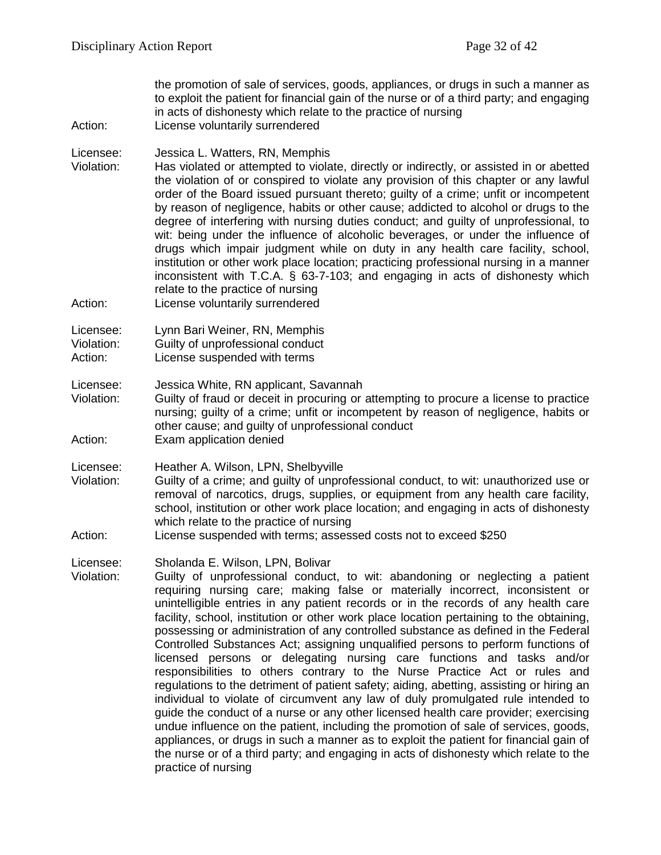the promotion of sale of services, goods, appliances, or drugs in such a manner as to exploit the patient for financial gain of the nurse or of a third party; and engaging in acts of dishonesty which relate to the practice of nursing Action: License voluntarily surrendered Licensee: Jessica L. Watters, RN, Memphis Violation: Has violated or attempted to violate, directly or indirectly, or assisted in or abetted the violation of or conspired to violate any provision of this chapter or any lawful order of the Board issued pursuant thereto; guilty of a crime; unfit or incompetent by reason of negligence, habits or other cause; addicted to alcohol or drugs to the degree of interfering with nursing duties conduct; and guilty of unprofessional, to wit: being under the influence of alcoholic beverages, or under the influence of drugs which impair judgment while on duty in any health care facility, school, institution or other work place location; practicing professional nursing in a manner inconsistent with T.C.A. § 63-7-103; and engaging in acts of dishonesty which relate to the practice of nursing Action: License voluntarily surrendered Licensee: Lynn Bari Weiner, RN, Memphis Violation: Guilty of unprofessional conduct Action: License suspended with terms Licensee: Jessica White, RN applicant, Savannah<br>Violation: Guilty of fraud or deceit in procuring or Guilty of fraud or deceit in procuring or attempting to procure a license to practice nursing; guilty of a crime; unfit or incompetent by reason of negligence, habits or other cause; and guilty of unprofessional conduct Action: Exam application denied Licensee: Heather A. Wilson, LPN, Shelbyville Violation: Guilty of a crime; and guilty of unprofessional conduct, to wit: unauthorized use or removal of narcotics, drugs, supplies, or equipment from any health care facility, school, institution or other work place location; and engaging in acts of dishonesty which relate to the practice of nursing Action: License suspended with terms; assessed costs not to exceed \$250 Licensee: Sholanda E. Wilson, LPN, Bolivar Violation: Guilty of unprofessional conduct, to wit: abandoning or neglecting a patient requiring nursing care; making false or materially incorrect, inconsistent or unintelligible entries in any patient records or in the records of any health care facility, school, institution or other work place location pertaining to the obtaining, possessing or administration of any controlled substance as defined in the Federal Controlled Substances Act; assigning unqualified persons to perform functions of licensed persons or delegating nursing care functions and tasks and/or responsibilities to others contrary to the Nurse Practice Act or rules and regulations to the detriment of patient safety; aiding, abetting, assisting or hiring an individual to violate of circumvent any law of duly promulgated rule intended to guide the conduct of a nurse or any other licensed health care provider; exercising undue influence on the patient, including the promotion of sale of services, goods, appliances, or drugs in such a manner as to exploit the patient for financial gain of the nurse or of a third party; and engaging in acts of dishonesty which relate to the practice of nursing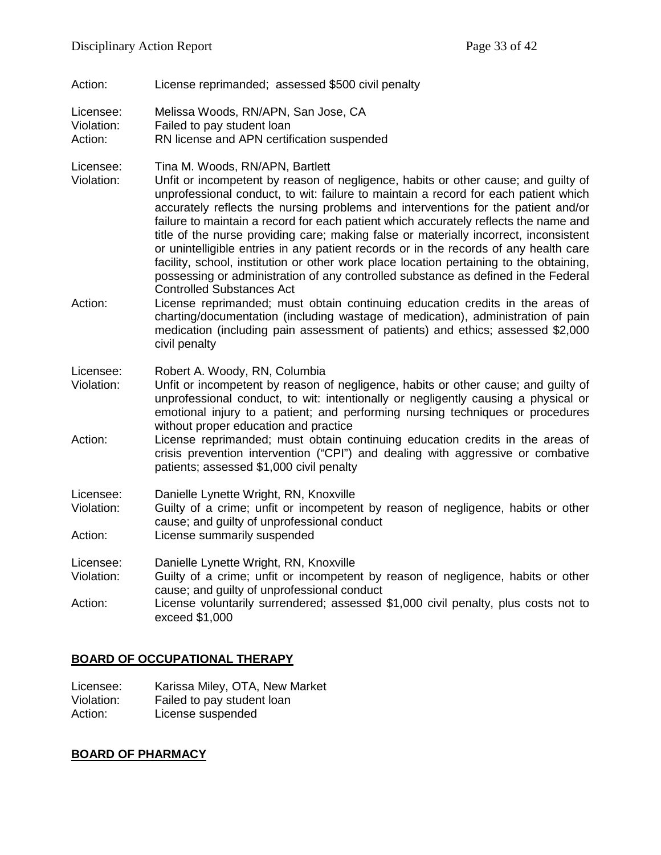Action: License reprimanded; assessed \$500 civil penalty

Licensee: Melissa Woods, RN/APN, San Jose, CA

Violation: Failed to pay student loan

Action: RN license and APN certification suspended

Licensee: Tina M. Woods, RN/APN, Bartlett

Violation: Unfit or incompetent by reason of negligence, habits or other cause; and guilty of unprofessional conduct, to wit: failure to maintain a record for each patient which accurately reflects the nursing problems and interventions for the patient and/or failure to maintain a record for each patient which accurately reflects the name and title of the nurse providing care; making false or materially incorrect, inconsistent or unintelligible entries in any patient records or in the records of any health care facility, school, institution or other work place location pertaining to the obtaining, possessing or administration of any controlled substance as defined in the Federal Controlled Substances Act

Action: License reprimanded; must obtain continuing education credits in the areas of charting/documentation (including wastage of medication), administration of pain medication (including pain assessment of patients) and ethics; assessed \$2,000 civil penalty

Licensee: Robert A. Woody, RN, Columbia

- Violation: Unfit or incompetent by reason of negligence, habits or other cause; and guilty of unprofessional conduct, to wit: intentionally or negligently causing a physical or emotional injury to a patient; and performing nursing techniques or procedures without proper education and practice
- Action: License reprimanded; must obtain continuing education credits in the areas of crisis prevention intervention ("CPI") and dealing with aggressive or combative patients; assessed \$1,000 civil penalty
- Licensee: Danielle Lynette Wright, RN, Knoxville<br>Violation: Guilty of a crime: unfit or incompeten
- Guilty of a crime; unfit or incompetent by reason of negligence, habits or other cause; and guilty of unprofessional conduct
- Action: License summarily suspended
- Licensee: Danielle Lynette Wright, RN, Knoxville
- Violation: Guilty of a crime; unfit or incompetent by reason of negligence, habits or other cause; and guilty of unprofessional conduct

Action: License voluntarily surrendered; assessed \$1,000 civil penalty, plus costs not to exceed \$1,000

# **BOARD OF OCCUPATIONAL THERAPY**

Licensee: Karissa Miley, OTA, New Market Violation: Failed to pay student loan<br>Action: License suspended License suspended

# **BOARD OF PHARMACY**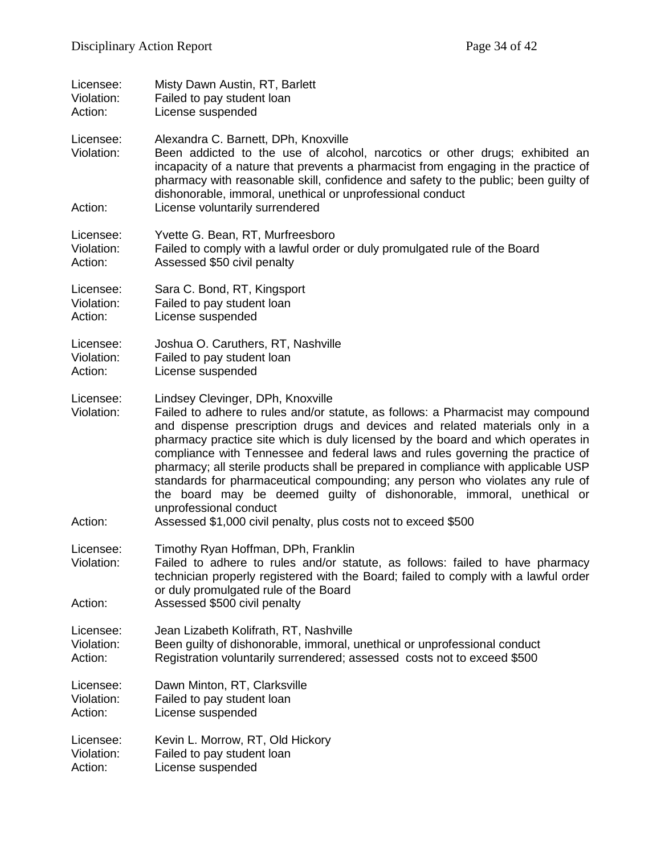| Licensee:                          | Misty Dawn Austin, RT, Barlett                                                                                                                                                                                                                                                                                                                                                                                                                                                                                                                                                                                                                                                                                        |
|------------------------------------|-----------------------------------------------------------------------------------------------------------------------------------------------------------------------------------------------------------------------------------------------------------------------------------------------------------------------------------------------------------------------------------------------------------------------------------------------------------------------------------------------------------------------------------------------------------------------------------------------------------------------------------------------------------------------------------------------------------------------|
| Violation:                         | Failed to pay student loan                                                                                                                                                                                                                                                                                                                                                                                                                                                                                                                                                                                                                                                                                            |
| Action:                            | License suspended                                                                                                                                                                                                                                                                                                                                                                                                                                                                                                                                                                                                                                                                                                     |
| Licensee:<br>Violation:<br>Action: | Alexandra C. Barnett, DPh, Knoxville<br>Been addicted to the use of alcohol, narcotics or other drugs; exhibited an<br>incapacity of a nature that prevents a pharmacist from engaging in the practice of<br>pharmacy with reasonable skill, confidence and safety to the public; been guilty of<br>dishonorable, immoral, unethical or unprofessional conduct<br>License voluntarily surrendered                                                                                                                                                                                                                                                                                                                     |
|                                    |                                                                                                                                                                                                                                                                                                                                                                                                                                                                                                                                                                                                                                                                                                                       |
| Licensee:                          | Yvette G. Bean, RT, Murfreesboro                                                                                                                                                                                                                                                                                                                                                                                                                                                                                                                                                                                                                                                                                      |
| Violation:                         | Failed to comply with a lawful order or duly promulgated rule of the Board                                                                                                                                                                                                                                                                                                                                                                                                                                                                                                                                                                                                                                            |
| Action:                            | Assessed \$50 civil penalty                                                                                                                                                                                                                                                                                                                                                                                                                                                                                                                                                                                                                                                                                           |
| Licensee:                          | Sara C. Bond, RT, Kingsport                                                                                                                                                                                                                                                                                                                                                                                                                                                                                                                                                                                                                                                                                           |
| Violation:                         | Failed to pay student loan                                                                                                                                                                                                                                                                                                                                                                                                                                                                                                                                                                                                                                                                                            |
| Action:                            | License suspended                                                                                                                                                                                                                                                                                                                                                                                                                                                                                                                                                                                                                                                                                                     |
| Licensee:                          | Joshua O. Caruthers, RT, Nashville                                                                                                                                                                                                                                                                                                                                                                                                                                                                                                                                                                                                                                                                                    |
| Violation:                         | Failed to pay student loan                                                                                                                                                                                                                                                                                                                                                                                                                                                                                                                                                                                                                                                                                            |
| Action:                            | License suspended                                                                                                                                                                                                                                                                                                                                                                                                                                                                                                                                                                                                                                                                                                     |
| Licensee:<br>Violation:<br>Action: | Lindsey Clevinger, DPh, Knoxville<br>Failed to adhere to rules and/or statute, as follows: a Pharmacist may compound<br>and dispense prescription drugs and devices and related materials only in a<br>pharmacy practice site which is duly licensed by the board and which operates in<br>compliance with Tennessee and federal laws and rules governing the practice of<br>pharmacy; all sterile products shall be prepared in compliance with applicable USP<br>standards for pharmaceutical compounding; any person who violates any rule of<br>the board may be deemed guilty of dishonorable, immoral, unethical or<br>unprofessional conduct<br>Assessed \$1,000 civil penalty, plus costs not to exceed \$500 |
| Licensee:<br>Violation:<br>Action: | Timothy Ryan Hoffman, DPh, Franklin<br>Failed to adhere to rules and/or statute, as follows: failed to have pharmacy<br>technician properly registered with the Board; failed to comply with a lawful order<br>or duly promulgated rule of the Board<br>Assessed \$500 civil penalty                                                                                                                                                                                                                                                                                                                                                                                                                                  |
| Licensee:                          | Jean Lizabeth Kolifrath, RT, Nashville                                                                                                                                                                                                                                                                                                                                                                                                                                                                                                                                                                                                                                                                                |
| Violation:                         | Been guilty of dishonorable, immoral, unethical or unprofessional conduct                                                                                                                                                                                                                                                                                                                                                                                                                                                                                                                                                                                                                                             |
| Action:                            | Registration voluntarily surrendered; assessed costs not to exceed \$500                                                                                                                                                                                                                                                                                                                                                                                                                                                                                                                                                                                                                                              |
| Licensee:                          | Dawn Minton, RT, Clarksville                                                                                                                                                                                                                                                                                                                                                                                                                                                                                                                                                                                                                                                                                          |
| Violation:                         | Failed to pay student loan                                                                                                                                                                                                                                                                                                                                                                                                                                                                                                                                                                                                                                                                                            |
| Action:                            | License suspended                                                                                                                                                                                                                                                                                                                                                                                                                                                                                                                                                                                                                                                                                                     |
| Licensee:                          | Kevin L. Morrow, RT, Old Hickory                                                                                                                                                                                                                                                                                                                                                                                                                                                                                                                                                                                                                                                                                      |
| Violation:                         | Failed to pay student loan                                                                                                                                                                                                                                                                                                                                                                                                                                                                                                                                                                                                                                                                                            |
| Action:                            | License suspended                                                                                                                                                                                                                                                                                                                                                                                                                                                                                                                                                                                                                                                                                                     |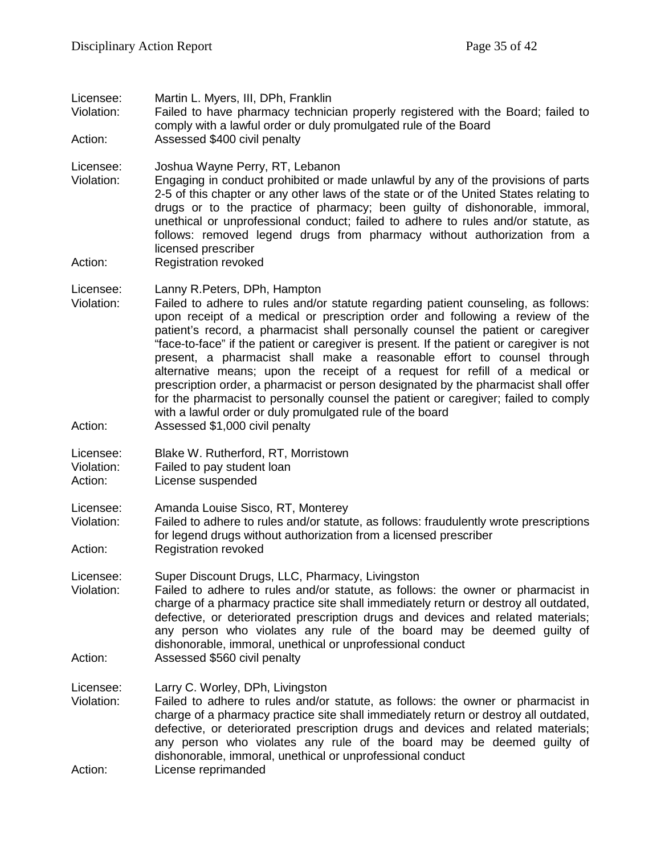Licensee: Martin L. Myers, III, DPh, Franklin

Violation: Failed to have pharmacy technician properly registered with the Board; failed to comply with a lawful order or duly promulgated rule of the Board Action: Assessed \$400 civil penalty

Licensee: Joshua Wayne Perry, RT, Lebanon Violation: Engaging in conduct prohibited or made unlawful by any of the provisions of parts 2-5 of this chapter or any other laws of the state or of the United States relating to drugs or to the practice of pharmacy; been guilty of dishonorable, immoral, unethical or unprofessional conduct; failed to adhere to rules and/or statute, as follows: removed legend drugs from pharmacy without authorization from a licensed prescriber

Action: Registration revoked

Licensee: Lanny R.Peters, DPh, Hampton

- Violation: Failed to adhere to rules and/or statute regarding patient counseling, as follows: upon receipt of a medical or prescription order and following a review of the patient's record, a pharmacist shall personally counsel the patient or caregiver "face-to-face" if the patient or caregiver is present. If the patient or caregiver is not present, a pharmacist shall make a reasonable effort to counsel through alternative means; upon the receipt of a request for refill of a medical or prescription order, a pharmacist or person designated by the pharmacist shall offer for the pharmacist to personally counsel the patient or caregiver; failed to comply with a lawful order or duly promulgated rule of the board
- Action: Assessed \$1,000 civil penalty

Licensee: Blake W. Rutherford, RT, Morristown

Violation: Failed to pay student loan

Action: License suspended

Licensee: Amanda Louise Sisco, RT, Monterey

- Violation: Failed to adhere to rules and/or statute, as follows: fraudulently wrote prescriptions for legend drugs without authorization from a licensed prescriber Action: Registration revoked
- Licensee: Super Discount Drugs, LLC, Pharmacy, Livingston
- Violation: Failed to adhere to rules and/or statute, as follows: the owner or pharmacist in charge of a pharmacy practice site shall immediately return or destroy all outdated, defective, or deteriorated prescription drugs and devices and related materials; any person who violates any rule of the board may be deemed guilty of dishonorable, immoral, unethical or unprofessional conduct Action: Assessed \$560 civil penalty
- Licensee: Larry C. Worley, DPh, Livingston Violation: Failed to adhere to rules and/or statute, as follows: the owner or pharmacist in charge of a pharmacy practice site shall immediately return or destroy all outdated, defective, or deteriorated prescription drugs and devices and related materials; any person who violates any rule of the board may be deemed guilty of dishonorable, immoral, unethical or unprofessional conduct
- Action: License reprimanded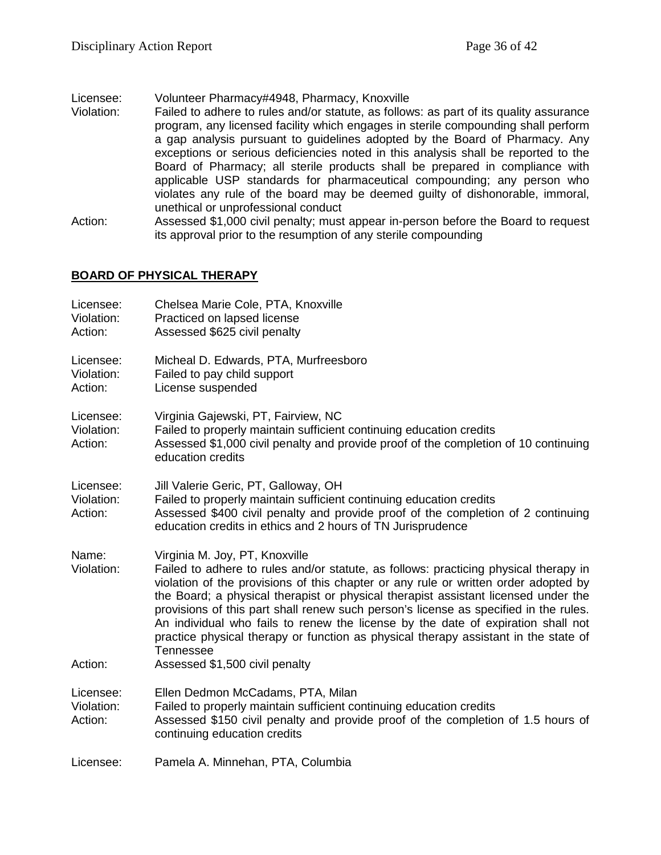Licensee: Volunteer Pharmacy#4948, Pharmacy, Knoxville

- Violation: Failed to adhere to rules and/or statute, as follows: as part of its quality assurance program, any licensed facility which engages in sterile compounding shall perform a gap analysis pursuant to guidelines adopted by the Board of Pharmacy. Any exceptions or serious deficiencies noted in this analysis shall be reported to the Board of Pharmacy; all sterile products shall be prepared in compliance with applicable USP standards for pharmaceutical compounding; any person who violates any rule of the board may be deemed guilty of dishonorable, immoral, unethical or unprofessional conduct
- Action: Assessed \$1,000 civil penalty; must appear in-person before the Board to request its approval prior to the resumption of any sterile compounding

# **BOARD OF PHYSICAL THERAPY**

| Licensee:<br>Violation:<br>Action: | Chelsea Marie Cole, PTA, Knoxville<br>Practiced on lapsed license<br>Assessed \$625 civil penalty                                                                                                                                                                                                                                                                                                                                                                                                                                                                                                                            |
|------------------------------------|------------------------------------------------------------------------------------------------------------------------------------------------------------------------------------------------------------------------------------------------------------------------------------------------------------------------------------------------------------------------------------------------------------------------------------------------------------------------------------------------------------------------------------------------------------------------------------------------------------------------------|
| Licensee:<br>Violation:<br>Action: | Micheal D. Edwards, PTA, Murfreesboro<br>Failed to pay child support<br>License suspended                                                                                                                                                                                                                                                                                                                                                                                                                                                                                                                                    |
| Licensee:<br>Violation:<br>Action: | Virginia Gajewski, PT, Fairview, NC<br>Failed to properly maintain sufficient continuing education credits<br>Assessed \$1,000 civil penalty and provide proof of the completion of 10 continuing<br>education credits                                                                                                                                                                                                                                                                                                                                                                                                       |
| Licensee:<br>Violation:<br>Action: | Jill Valerie Geric, PT, Galloway, OH<br>Failed to properly maintain sufficient continuing education credits<br>Assessed \$400 civil penalty and provide proof of the completion of 2 continuing<br>education credits in ethics and 2 hours of TN Jurisprudence                                                                                                                                                                                                                                                                                                                                                               |
| Name:<br>Violation:<br>Action:     | Virginia M. Joy, PT, Knoxville<br>Failed to adhere to rules and/or statute, as follows: practicing physical therapy in<br>violation of the provisions of this chapter or any rule or written order adopted by<br>the Board; a physical therapist or physical therapist assistant licensed under the<br>provisions of this part shall renew such person's license as specified in the rules.<br>An individual who fails to renew the license by the date of expiration shall not<br>practice physical therapy or function as physical therapy assistant in the state of<br><b>Tennessee</b><br>Assessed \$1,500 civil penalty |
| Licensee:<br>Violation:<br>Action: | Ellen Dedmon McCadams, PTA, Milan<br>Failed to properly maintain sufficient continuing education credits<br>Assessed \$150 civil penalty and provide proof of the completion of 1.5 hours of<br>continuing education credits                                                                                                                                                                                                                                                                                                                                                                                                 |
| Licensee:                          | Pamela A. Minnehan, PTA, Columbia                                                                                                                                                                                                                                                                                                                                                                                                                                                                                                                                                                                            |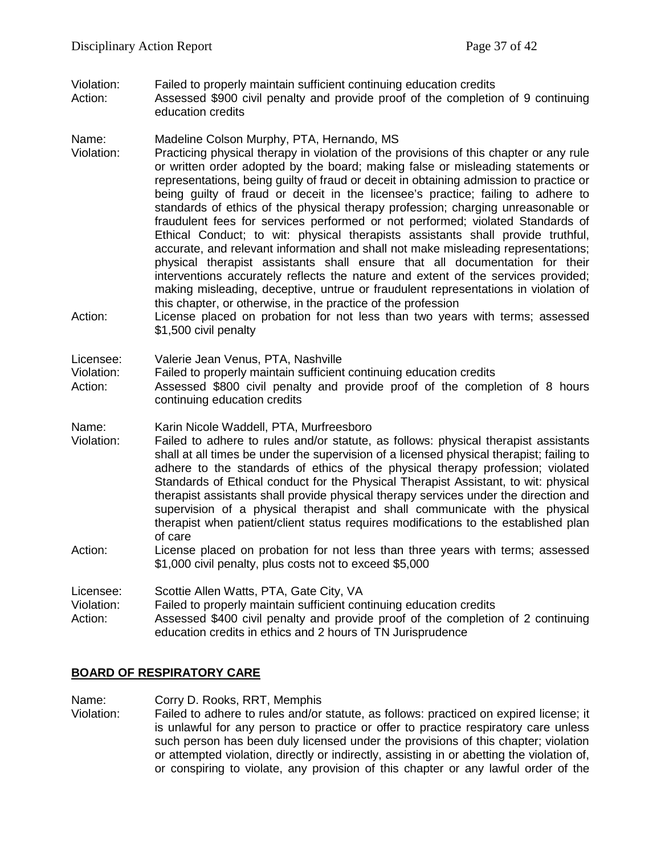Violation: Failed to properly maintain sufficient continuing education credits<br>Action: Assessed \$900 civil penalty and provide proof of the completion Assessed \$900 civil penalty and provide proof of the completion of 9 continuing education credits

#### Name: Madeline Colson Murphy, PTA, Hernando, MS

- Violation: Practicing physical therapy in violation of the provisions of this chapter or any rule or written order adopted by the board; making false or misleading statements or representations, being guilty of fraud or deceit in obtaining admission to practice or being guilty of fraud or deceit in the licensee's practice; failing to adhere to standards of ethics of the physical therapy profession; charging unreasonable or fraudulent fees for services performed or not performed; violated Standards of Ethical Conduct; to wit: physical therapists assistants shall provide truthful, accurate, and relevant information and shall not make misleading representations; physical therapist assistants shall ensure that all documentation for their interventions accurately reflects the nature and extent of the services provided; making misleading, deceptive, untrue or fraudulent representations in violation of this chapter, or otherwise, in the practice of the profession
- Action: License placed on probation for not less than two years with terms; assessed \$1,500 civil penalty

#### Licensee: Valerie Jean Venus, PTA, Nashville

Violation: Failed to properly maintain sufficient continuing education credits

- Action: Assessed \$800 civil penalty and provide proof of the completion of 8 hours continuing education credits
- Name: Karin Nicole Waddell, PTA, Murfreesboro
- Violation: Failed to adhere to rules and/or statute, as follows: physical therapist assistants shall at all times be under the supervision of a licensed physical therapist; failing to adhere to the standards of ethics of the physical therapy profession; violated Standards of Ethical conduct for the Physical Therapist Assistant, to wit: physical therapist assistants shall provide physical therapy services under the direction and supervision of a physical therapist and shall communicate with the physical therapist when patient/client status requires modifications to the established plan of care
- Action: License placed on probation for not less than three years with terms; assessed \$1,000 civil penalty, plus costs not to exceed \$5,000

Licensee: Scottie Allen Watts, PTA, Gate City, VA Violation: Failed to properly maintain sufficient continuing education credits Action: Assessed \$400 civil penalty and provide proof of the completion of 2 continuing education credits in ethics and 2 hours of TN Jurisprudence

# **BOARD OF RESPIRATORY CARE**

Name: Corry D. Rooks, RRT, Memphis Violation: Failed to adhere to rules and/or statute, as follows: practiced on expired license; it is unlawful for any person to practice or offer to practice respiratory care unless such person has been duly licensed under the provisions of this chapter; violation or attempted violation, directly or indirectly, assisting in or abetting the violation of, or conspiring to violate, any provision of this chapter or any lawful order of the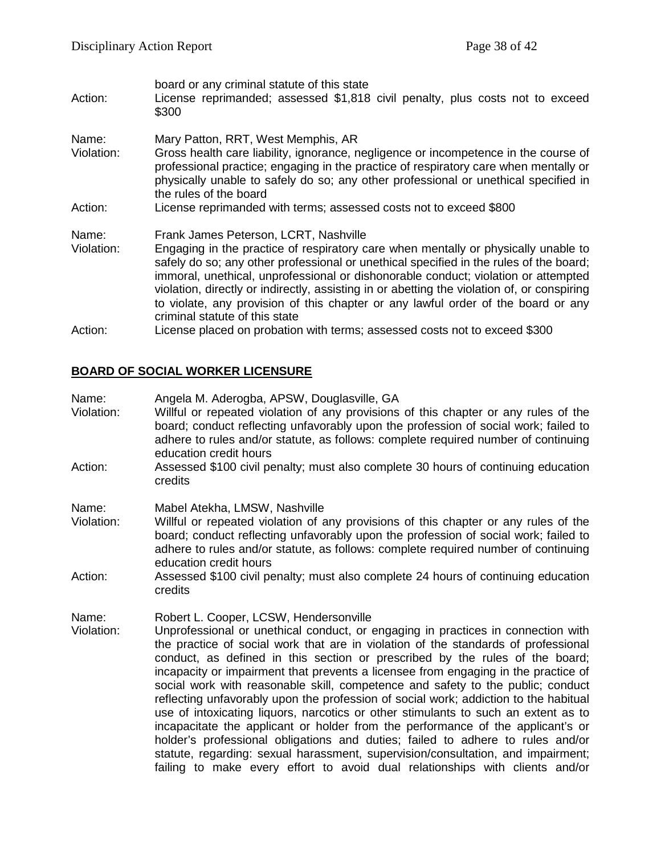| Action:             | board or any criminal statute of this state<br>License reprimanded; assessed \$1,818 civil penalty, plus costs not to exceed<br>\$300                                                                                                                                                                                                                                                                                                                                                                                             |
|---------------------|-----------------------------------------------------------------------------------------------------------------------------------------------------------------------------------------------------------------------------------------------------------------------------------------------------------------------------------------------------------------------------------------------------------------------------------------------------------------------------------------------------------------------------------|
| Name:<br>Violation: | Mary Patton, RRT, West Memphis, AR<br>Gross health care liability, ignorance, negligence or incompetence in the course of<br>professional practice; engaging in the practice of respiratory care when mentally or<br>physically unable to safely do so; any other professional or unethical specified in<br>the rules of the board                                                                                                                                                                                                |
| Action:             | License reprimanded with terms; assessed costs not to exceed \$800                                                                                                                                                                                                                                                                                                                                                                                                                                                                |
| Name:<br>Violation: | Frank James Peterson, LCRT, Nashville<br>Engaging in the practice of respiratory care when mentally or physically unable to<br>safely do so; any other professional or unethical specified in the rules of the board;<br>immoral, unethical, unprofessional or dishonorable conduct; violation or attempted<br>violation, directly or indirectly, assisting in or abetting the violation of, or conspiring<br>to violate, any provision of this chapter or any lawful order of the board or any<br>criminal statute of this state |
| Action:             | License placed on probation with terms; assessed costs not to exceed \$300                                                                                                                                                                                                                                                                                                                                                                                                                                                        |

# **BOARD OF SOCIAL WORKER LICENSURE**

| Name:<br>Violation: | Angela M. Aderogba, APSW, Douglasville, GA<br>Willful or repeated violation of any provisions of this chapter or any rules of the<br>board; conduct reflecting unfavorably upon the profession of social work; failed to<br>adhere to rules and/or statute, as follows: complete required number of continuing<br>education credit hours                                                                                                                                                                                                                                                                                                                                                                                                                                                                                                                                                                                                                                                         |
|---------------------|--------------------------------------------------------------------------------------------------------------------------------------------------------------------------------------------------------------------------------------------------------------------------------------------------------------------------------------------------------------------------------------------------------------------------------------------------------------------------------------------------------------------------------------------------------------------------------------------------------------------------------------------------------------------------------------------------------------------------------------------------------------------------------------------------------------------------------------------------------------------------------------------------------------------------------------------------------------------------------------------------|
| Action:             | Assessed \$100 civil penalty; must also complete 30 hours of continuing education<br>credits                                                                                                                                                                                                                                                                                                                                                                                                                                                                                                                                                                                                                                                                                                                                                                                                                                                                                                     |
| Name:<br>Violation: | Mabel Atekha, LMSW, Nashville<br>Willful or repeated violation of any provisions of this chapter or any rules of the<br>board; conduct reflecting unfavorably upon the profession of social work; failed to<br>adhere to rules and/or statute, as follows: complete required number of continuing<br>education credit hours                                                                                                                                                                                                                                                                                                                                                                                                                                                                                                                                                                                                                                                                      |
| Action:             | Assessed \$100 civil penalty; must also complete 24 hours of continuing education<br>credits                                                                                                                                                                                                                                                                                                                                                                                                                                                                                                                                                                                                                                                                                                                                                                                                                                                                                                     |
| Name:<br>Violation: | Robert L. Cooper, LCSW, Hendersonville<br>Unprofessional or unethical conduct, or engaging in practices in connection with<br>the practice of social work that are in violation of the standards of professional<br>conduct, as defined in this section or prescribed by the rules of the board;<br>incapacity or impairment that prevents a licensee from engaging in the practice of<br>social work with reasonable skill, competence and safety to the public; conduct<br>reflecting unfavorably upon the profession of social work; addiction to the habitual<br>use of intoxicating liquors, narcotics or other stimulants to such an extent as to<br>incapacitate the applicant or holder from the performance of the applicant's or<br>holder's professional obligations and duties; failed to adhere to rules and/or<br>statute, regarding: sexual harassment, supervision/consultation, and impairment;<br>failing to make every effort to avoid dual relationships with clients and/or |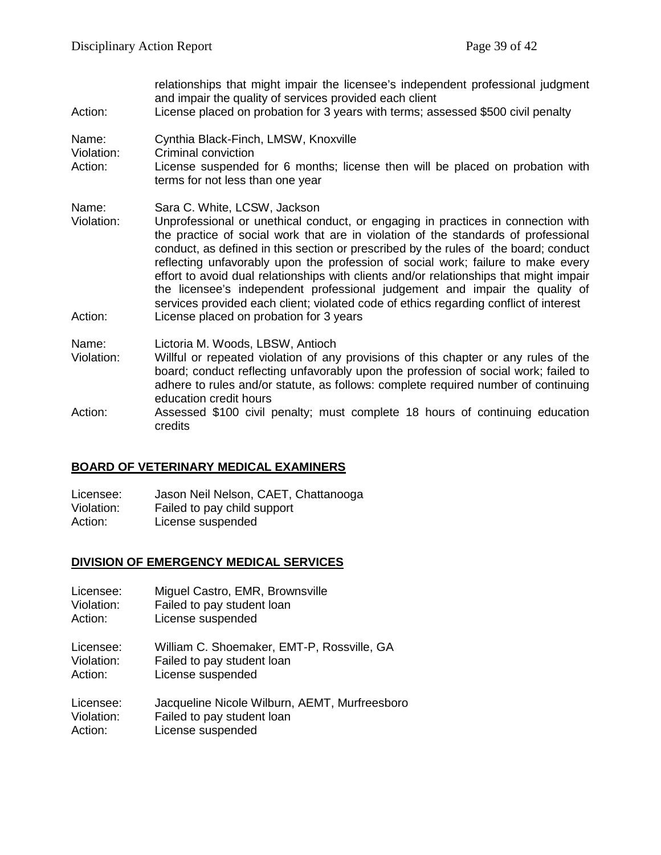| Action:                        | relationships that might impair the licensee's independent professional judgment<br>and impair the quality of services provided each client<br>License placed on probation for 3 years with terms; assessed \$500 civil penalty                                                                                                                                                                                                                                                                                                                                                                                                                                                                 |
|--------------------------------|-------------------------------------------------------------------------------------------------------------------------------------------------------------------------------------------------------------------------------------------------------------------------------------------------------------------------------------------------------------------------------------------------------------------------------------------------------------------------------------------------------------------------------------------------------------------------------------------------------------------------------------------------------------------------------------------------|
| Name:<br>Violation:<br>Action: | Cynthia Black-Finch, LMSW, Knoxville<br>Criminal conviction<br>License suspended for 6 months; license then will be placed on probation with<br>terms for not less than one year                                                                                                                                                                                                                                                                                                                                                                                                                                                                                                                |
| Name:<br>Violation:<br>Action: | Sara C. White, LCSW, Jackson<br>Unprofessional or unethical conduct, or engaging in practices in connection with<br>the practice of social work that are in violation of the standards of professional<br>conduct, as defined in this section or prescribed by the rules of the board; conduct<br>reflecting unfavorably upon the profession of social work; failure to make every<br>effort to avoid dual relationships with clients and/or relationships that might impair<br>the licensee's independent professional judgement and impair the quality of<br>services provided each client; violated code of ethics regarding conflict of interest<br>License placed on probation for 3 years |
| Name:<br>Violation:            | Lictoria M. Woods, LBSW, Antioch<br>Willful or repeated violation of any provisions of this chapter or any rules of the<br>board; conduct reflecting unfavorably upon the profession of social work; failed to<br>adhere to rules and/or statute, as follows: complete required number of continuing<br>education credit hours                                                                                                                                                                                                                                                                                                                                                                  |
| Action:                        | Assessed \$100 civil penalty; must complete 18 hours of continuing education<br>credits                                                                                                                                                                                                                                                                                                                                                                                                                                                                                                                                                                                                         |

# **BOARD OF VETERINARY MEDICAL EXAMINERS**

Licensee: Jason Neil Nelson, CAET, Chattanooga<br>Violation: Failed to pay child support Violation: Failed to pay child support<br>Action: License suspended License suspended

#### **DIVISION OF EMERGENCY MEDICAL SERVICES**

- Licensee: Miguel Castro, EMR, Brownsville
- Violation: Failed to pay student loan<br>Action: License suspended
- License suspended

Licensee: William C. Shoemaker, EMT-P, Rossville, GA Violation: Failed to pay student loan Failed to pay student loan

Action: License suspended

Licensee: Jacqueline Nicole Wilburn, AEMT, Murfreesboro Violation: Failed to pay student loan Action: License suspended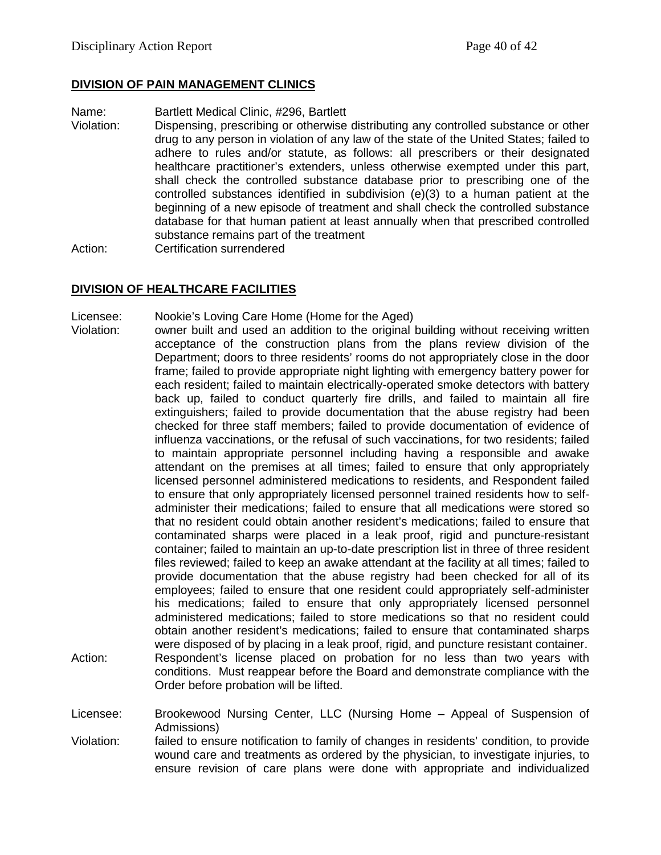# **DIVISION OF PAIN MANAGEMENT CLINICS**

Name: Bartlett Medical Clinic, #296, Bartlett

Violation: Dispensing, prescribing or otherwise distributing any controlled substance or other drug to any person in violation of any law of the state of the United States; failed to adhere to rules and/or statute, as follows: all prescribers or their designated healthcare practitioner's extenders, unless otherwise exempted under this part, shall check the controlled substance database prior to prescribing one of the controlled substances identified in subdivision (e)(3) to a human patient at the beginning of a new episode of treatment and shall check the controlled substance database for that human patient at least annually when that prescribed controlled substance remains part of the treatment

Action: Certification surrendered

# **DIVISION OF HEALTHCARE FACILITIES**

Licensee: Nookie's Loving Care Home (Home for the Aged)

Violation: owner built and used an addition to the original building without receiving written acceptance of the construction plans from the plans review division of the Department; doors to three residents' rooms do not appropriately close in the door frame; failed to provide appropriate night lighting with emergency battery power for each resident; failed to maintain electrically-operated smoke detectors with battery back up, failed to conduct quarterly fire drills, and failed to maintain all fire extinguishers; failed to provide documentation that the abuse registry had been checked for three staff members; failed to provide documentation of evidence of influenza vaccinations, or the refusal of such vaccinations, for two residents; failed to maintain appropriate personnel including having a responsible and awake attendant on the premises at all times; failed to ensure that only appropriately licensed personnel administered medications to residents, and Respondent failed to ensure that only appropriately licensed personnel trained residents how to selfadminister their medications; failed to ensure that all medications were stored so that no resident could obtain another resident's medications; failed to ensure that contaminated sharps were placed in a leak proof, rigid and puncture-resistant container; failed to maintain an up-to-date prescription list in three of three resident files reviewed; failed to keep an awake attendant at the facility at all times; failed to provide documentation that the abuse registry had been checked for all of its employees; failed to ensure that one resident could appropriately self-administer his medications; failed to ensure that only appropriately licensed personnel administered medications; failed to store medications so that no resident could obtain another resident's medications; failed to ensure that contaminated sharps were disposed of by placing in a leak proof, rigid, and puncture resistant container. Action: Respondent's license placed on probation for no less than two years with conditions. Must reappear before the Board and demonstrate compliance with the Order before probation will be lifted.

Licensee: Brookewood Nursing Center, LLC (Nursing Home – Appeal of Suspension of Admissions)

Violation: failed to ensure notification to family of changes in residents' condition, to provide wound care and treatments as ordered by the physician, to investigate injuries, to ensure revision of care plans were done with appropriate and individualized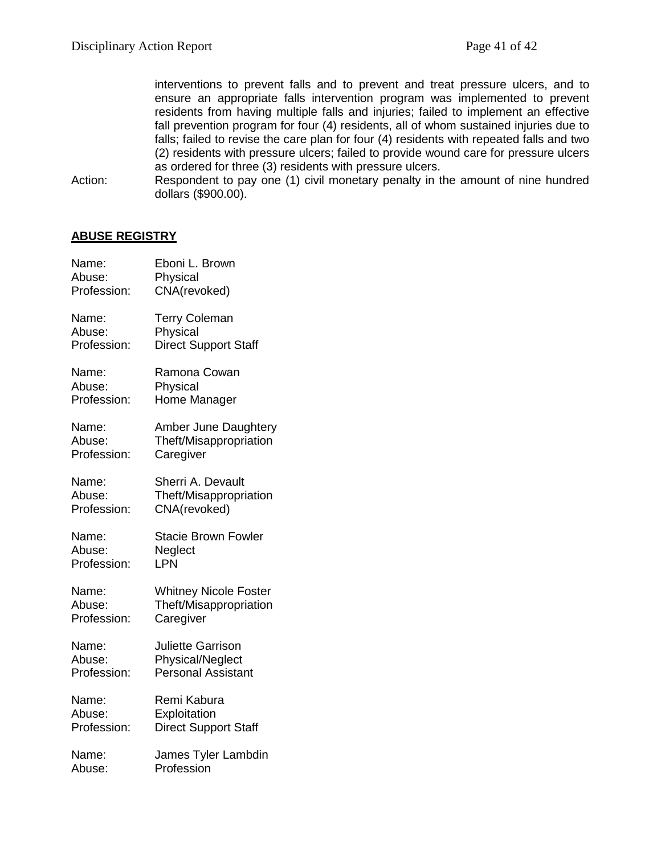interventions to prevent falls and to prevent and treat pressure ulcers, and to ensure an appropriate falls intervention program was implemented to prevent residents from having multiple falls and injuries; failed to implement an effective fall prevention program for four (4) residents, all of whom sustained injuries due to falls; failed to revise the care plan for four (4) residents with repeated falls and two (2) residents with pressure ulcers; failed to provide wound care for pressure ulcers as ordered for three (3) residents with pressure ulcers.

Action: Respondent to pay one (1) civil monetary penalty in the amount of nine hundred dollars (\$900.00).

# **ABUSE REGISTRY**

| Name:       | Eboni L. Brown               |
|-------------|------------------------------|
| Abuse:      | Physical                     |
| Profession: | CNA(revoked)                 |
| Name:       | <b>Terry Coleman</b>         |
| Abuse:      | Physical                     |
| Profession: | <b>Direct Support Staff</b>  |
| Name:       | Ramona Cowan                 |
| Abuse:      | Physical                     |
| Profession: | Home Manager                 |
| Name:       | Amber June Daughtery         |
| Abuse:      | Theft/Misappropriation       |
| Profession: | Caregiver                    |
| Name:       | Sherri A. Devault            |
| Abuse:      | Theft/Misappropriation       |
| Profession: | CNA(revoked)                 |
| Name:       | <b>Stacie Brown Fowler</b>   |
| Abuse:      | Neglect                      |
| Profession: | LPN                          |
| Name:       | <b>Whitney Nicole Foster</b> |
| Abuse:      | Theft/Misappropriation       |
| Profession: | Caregiver                    |
| Name:       | <b>Juliette Garrison</b>     |
| Abuse:      | Physical/Neglect             |
| Profession: | <b>Personal Assistant</b>    |
| Name:       | Remi Kabura                  |
| Abuse:      | Exploitation                 |
| Profession: | <b>Direct Support Staff</b>  |
| Name:       | James Tyler Lambdin          |
| Abuse:      | Profession                   |